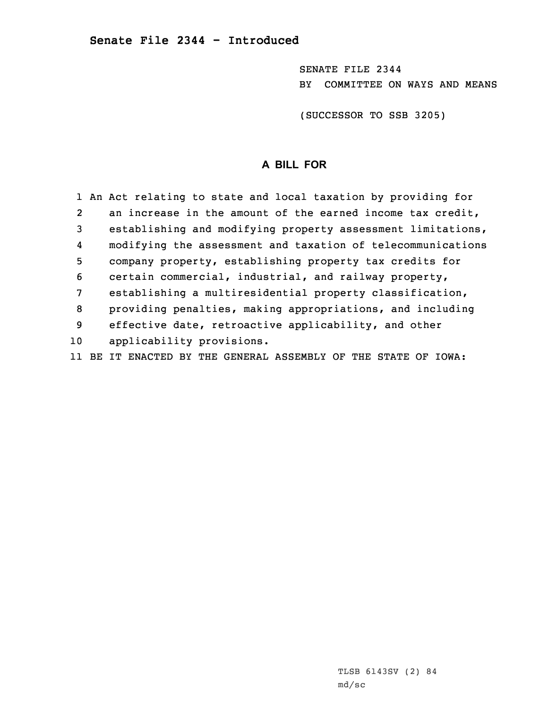SENATE FILE 2344 BY COMMITTEE ON WAYS AND MEANS

(SUCCESSOR TO SSB 3205)

# **A BILL FOR**

|                | 1 An Act relating to state and local taxation by providing for |
|----------------|----------------------------------------------------------------|
| $\overline{2}$ | an increase in the amount of the earned income tax credit,     |
| 3              | establishing and modifying property assessment limitations,    |
| 4              | modifying the assessment and taxation of telecommunications    |
| 5              | company property, establishing property tax credits for        |
| 6              | certain commercial, industrial, and railway property,          |
| 7              | establishing a multiresidential property classification,       |
| 8              | providing penalties, making appropriations, and including      |
| 9              | effective date, retroactive applicability, and other           |
| 10             | applicability provisions.                                      |
| 11             | BE IT ENACTED BY THE GENERAL ASSEMBLY OF THE STATE OF IOWA:    |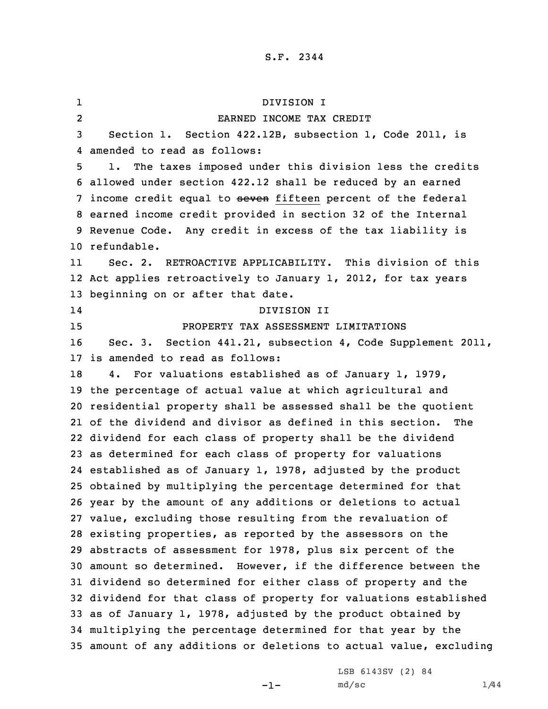1 DIVISION I 2 EARNED INCOME TAX CREDIT Section 1. Section 422.12B, subsection 1, Code 2011, is amended to read as follows: 1. The taxes imposed under this division less the credits allowed under section 422.12 shall be reduced by an earned 7 income credit equal to seven fifteen percent of the federal earned income credit provided in section 32 of the Internal Revenue Code. Any credit in excess of the tax liability is refundable. 11 Sec. 2. RETROACTIVE APPLICABILITY. This division of this Act applies retroactively to January 1, 2012, for tax years beginning on or after that date. 14 DIVISION II PROPERTY TAX ASSESSMENT LIMITATIONS Sec. 3. Section 441.21, subsection 4, Code Supplement 2011, is amended to read as follows: 4. For valuations established as of January 1, 1979, the percentage of actual value at which agricultural and residential property shall be assessed shall be the quotient of the dividend and divisor as defined in this section. The dividend for each class of property shall be the dividend as determined for each class of property for valuations established as of January 1, 1978, adjusted by the product obtained by multiplying the percentage determined for that year by the amount of any additions or deletions to actual value, excluding those resulting from the revaluation of existing properties, as reported by the assessors on the abstracts of assessment for 1978, plus six percent of the amount so determined. However, if the difference between the dividend so determined for either class of property and the dividend for that class of property for valuations established as of January 1, 1978, adjusted by the product obtained by multiplying the percentage determined for that year by the amount of any additions or deletions to actual value, excluding

-1-

LSB 6143SV (2) 84  $md/sc$   $1/44$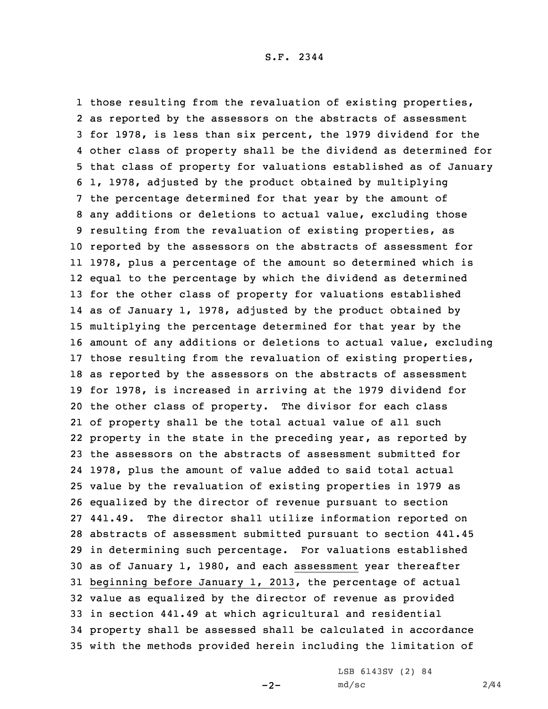those resulting from the revaluation of existing properties, as reported by the assessors on the abstracts of assessment for 1978, is less than six percent, the 1979 dividend for the other class of property shall be the dividend as determined for that class of property for valuations established as of January 1, 1978, adjusted by the product obtained by multiplying the percentage determined for that year by the amount of any additions or deletions to actual value, excluding those resulting from the revaluation of existing properties, as reported by the assessors on the abstracts of assessment for 1978, plus <sup>a</sup> percentage of the amount so determined which is equal to the percentage by which the dividend as determined for the other class of property for valuations established as of January 1, 1978, adjusted by the product obtained by multiplying the percentage determined for that year by the amount of any additions or deletions to actual value, excluding those resulting from the revaluation of existing properties, as reported by the assessors on the abstracts of assessment for 1978, is increased in arriving at the 1979 dividend for the other class of property. The divisor for each class of property shall be the total actual value of all such property in the state in the preceding year, as reported by the assessors on the abstracts of assessment submitted for 1978, plus the amount of value added to said total actual value by the revaluation of existing properties in 1979 as equalized by the director of revenue pursuant to section 441.49. The director shall utilize information reported on abstracts of assessment submitted pursuant to section 441.45 in determining such percentage. For valuations established as of January 1, 1980, and each assessment year thereafter beginning before January 1, 2013, the percentage of actual value as equalized by the director of revenue as provided in section 441.49 at which agricultural and residential property shall be assessed shall be calculated in accordance with the methods provided herein including the limitation of

 $-2-$ 

LSB 6143SV (2) 84 md/sc 2/44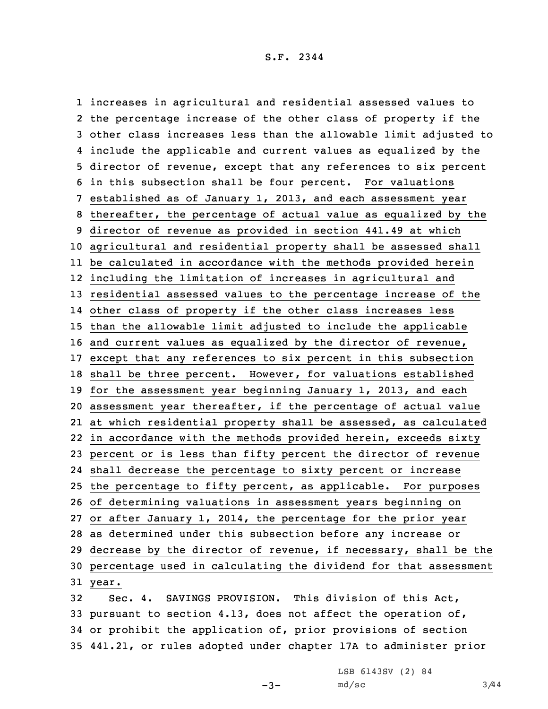increases in agricultural and residential assessed values to the percentage increase of the other class of property if the other class increases less than the allowable limit adjusted to include the applicable and current values as equalized by the director of revenue, except that any references to six percent in this subsection shall be four percent. For valuations established as of January 1, 2013, and each assessment year thereafter, the percentage of actual value as equalized by the director of revenue as provided in section 441.49 at which agricultural and residential property shall be assessed shall be calculated in accordance with the methods provided herein including the limitation of increases in agricultural and residential assessed values to the percentage increase of the other class of property if the other class increases less than the allowable limit adjusted to include the applicable and current values as equalized by the director of revenue, except that any references to six percent in this subsection shall be three percent. However, for valuations established for the assessment year beginning January 1, 2013, and each assessment year thereafter, if the percentage of actual value at which residential property shall be assessed, as calculated in accordance with the methods provided herein, exceeds sixty percent or is less than fifty percent the director of revenue shall decrease the percentage to sixty percent or increase the percentage to fifty percent, as applicable. For purposes of determining valuations in assessment years beginning on or after January 1, 2014, the percentage for the prior year as determined under this subsection before any increase or decrease by the director of revenue, if necessary, shall be the percentage used in calculating the dividend for that assessment 31 year. Sec. 4. SAVINGS PROVISION. This division of this Act,

33 pursuant to section 4.13, does not affect the operation of, 34 or prohibit the application of, prior provisions of section 35 441.21, or rules adopted under chapter 17A to administer prior

 $-3-$ 

LSB 6143SV (2) 84  $md/sec$  3/44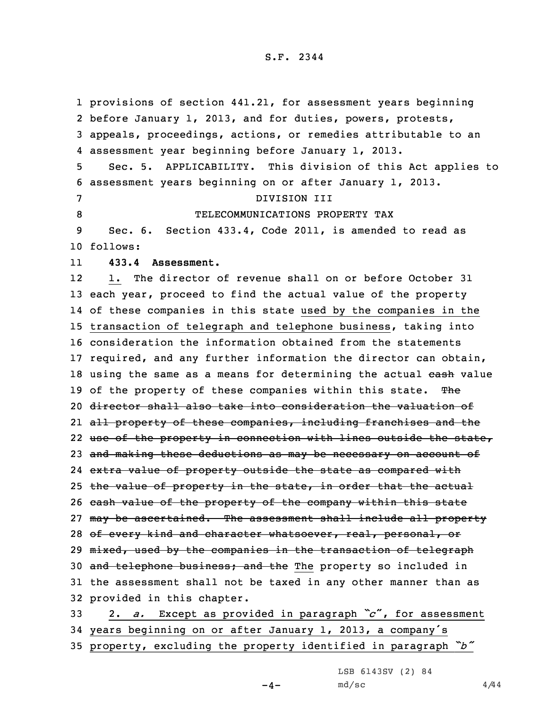1 provisions of section 441.21, for assessment years beginning 2 before January 1, 2013, and for duties, powers, protests, 3 appeals, proceedings, actions, or remedies attributable to an 4 assessment year beginning before January 1, 2013. 5 Sec. 5. APPLICABILITY. This division of this Act applies to 6 assessment years beginning on or after January 1, 2013. 7 DIVISION III 8 TELECOMMUNICATIONS PROPERTY TAX 9 Sec. 6. Section 433.4, Code 2011, is amended to read as 10 follows: 11 **433.4 Assessment.** 12 1. The director of revenue shall on or before October 31 13 each year, proceed to find the actual value of the property 14 of these companies in this state used by the companies in the 15 transaction of telegraph and telephone business, taking into 16 consideration the information obtained from the statements 17 required, and any further information the director can obtain, 18 using the same as a means for determining the actual cash value 19 of the property of these companies within this state. The 20 director shall also take into consideration the valuation of 21 all property of these companies, including franchises and the 22 use of the property in connection with lines outside the state, 23 and making these deductions as may be necessary on account of 24 e<del>xtra value of property outside the state as compared with</del> 25 the value of property in the state, in order that the actual 26 cash value of the property of the company within this state 27 may be ascertained. The assessment shall include all property 28 of every kind and character whatsoever, real, personal, or 29 mixed, used by the companies in the transaction of telegraph 30 and telephone business; and the The property so included in 31 the assessment shall not be taxed in any other manner than as 32 provided in this chapter. <sup>33</sup> 2. *a.* Except as provided in paragraph *"c*", for assessment <sup>34</sup> years beginning on or after January 1, 2013, <sup>a</sup> company's

<sup>35</sup> property, excluding the property identified in paragraph *"b"*

LSB 6143SV (2) 84

 $-4-$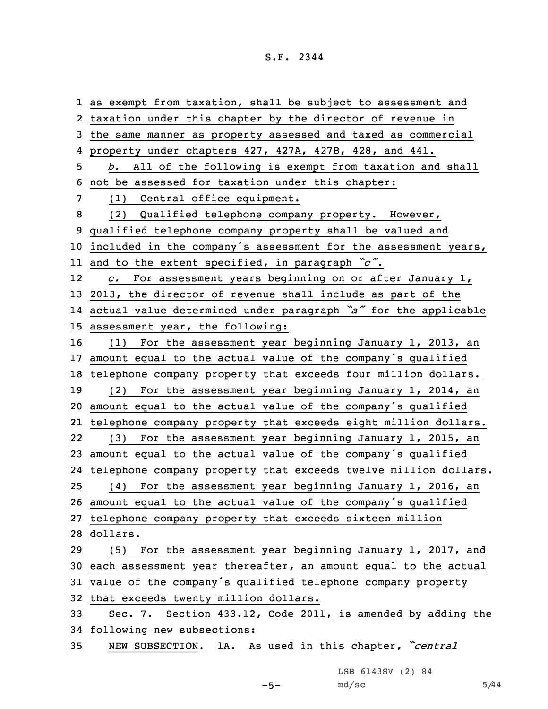as exempt from taxation, shall be subject to assessment and taxation under this chapter by the director of revenue in the same manner as property assessed and taxed as commercial property under chapters 427, 427A, 427B, 428, and 441. *b.* All of the following is exempt from taxation and shall not be assessed for taxation under this chapter: (1) Central office equipment. (2) Qualified telephone company property. However, qualified telephone company property shall be valued and included in the company's assessment for the assessment years, and to the extent specified, in paragraph *"c"*. 12 *c.* For assessment years beginning on or after January 1, 2013, the director of revenue shall include as part of the actual value determined under paragraph *"a"* for the applicable assessment year, the following: (1) For the assessment year beginning January 1, 2013, an amount equal to the actual value of the company's qualified telephone company property that exceeds four million dollars. (2) For the assessment year beginning January 1, 2014, an amount equal to the actual value of the company's qualified telephone company property that exceeds eight million dollars. 22 (3) For the assessment year beginning January 1, 2015, an amount equal to the actual value of the company's qualified telephone company property that exceeds twelve million dollars. (4) For the assessment year beginning January 1, 2016, an amount equal to the actual value of the company's qualified telephone company property that exceeds sixteen million 28 dollars. (5) For the assessment year beginning January 1, 2017, and each assessment year thereafter, an amount equal to the actual value of the company's qualified telephone company property that exceeds twenty million dollars. Sec. 7. Section 433.12, Code 2011, is amended by adding the following new subsections: NEW SUBSECTION. 1A. As used in this chapter, *"central*

LSB 6143SV (2) 84

 $-5-$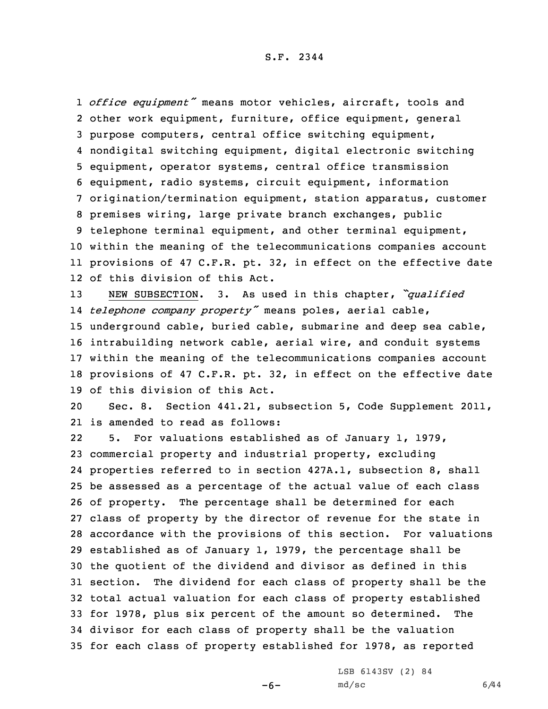*office equipment"* means motor vehicles, aircraft, tools and other work equipment, furniture, office equipment, general purpose computers, central office switching equipment, nondigital switching equipment, digital electronic switching equipment, operator systems, central office transmission equipment, radio systems, circuit equipment, information origination/termination equipment, station apparatus, customer premises wiring, large private branch exchanges, public telephone terminal equipment, and other terminal equipment, within the meaning of the telecommunications companies account provisions of 47 C.F.R. pt. 32, in effect on the effective date of this division of this Act.

 NEW SUBSECTION. 3. As used in this chapter, *"qualified telephone company property"* means poles, aerial cable, underground cable, buried cable, submarine and deep sea cable, intrabuilding network cable, aerial wire, and conduit systems within the meaning of the telecommunications companies account provisions of 47 C.F.R. pt. 32, in effect on the effective date of this division of this Act.

20 Sec. 8. Section 441.21, subsection 5, Code Supplement 2011, 21 is amended to read as follows:

22 5. For valuations established as of January 1, 1979, commercial property and industrial property, excluding properties referred to in section 427A.1, subsection 8, shall be assessed as <sup>a</sup> percentage of the actual value of each class of property. The percentage shall be determined for each class of property by the director of revenue for the state in accordance with the provisions of this section. For valuations established as of January 1, 1979, the percentage shall be the quotient of the dividend and divisor as defined in this section. The dividend for each class of property shall be the total actual valuation for each class of property established for 1978, plus six percent of the amount so determined. The divisor for each class of property shall be the valuation for each class of property established for 1978, as reported

-6-

LSB 6143SV (2) 84  $md/sec$  6/44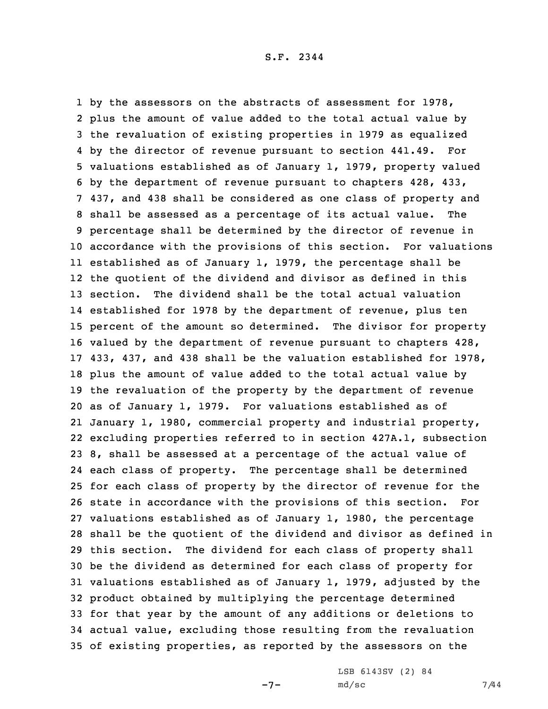by the assessors on the abstracts of assessment for 1978, plus the amount of value added to the total actual value by the revaluation of existing properties in 1979 as equalized by the director of revenue pursuant to section 441.49. For valuations established as of January 1, 1979, property valued by the department of revenue pursuant to chapters 428, 433, 437, and 438 shall be considered as one class of property and shall be assessed as <sup>a</sup> percentage of its actual value. The percentage shall be determined by the director of revenue in accordance with the provisions of this section. For valuations established as of January 1, 1979, the percentage shall be the quotient of the dividend and divisor as defined in this section. The dividend shall be the total actual valuation established for 1978 by the department of revenue, plus ten percent of the amount so determined. The divisor for property valued by the department of revenue pursuant to chapters 428, 433, 437, and 438 shall be the valuation established for 1978, plus the amount of value added to the total actual value by the revaluation of the property by the department of revenue as of January 1, 1979. For valuations established as of January 1, 1980, commercial property and industrial property, excluding properties referred to in section 427A.1, subsection 8, shall be assessed at <sup>a</sup> percentage of the actual value of each class of property. The percentage shall be determined for each class of property by the director of revenue for the state in accordance with the provisions of this section. For valuations established as of January 1, 1980, the percentage shall be the quotient of the dividend and divisor as defined in this section. The dividend for each class of property shall be the dividend as determined for each class of property for valuations established as of January 1, 1979, adjusted by the product obtained by multiplying the percentage determined for that year by the amount of any additions or deletions to actual value, excluding those resulting from the revaluation of existing properties, as reported by the assessors on the

-7-

LSB 6143SV (2) 84 md/sc 7/44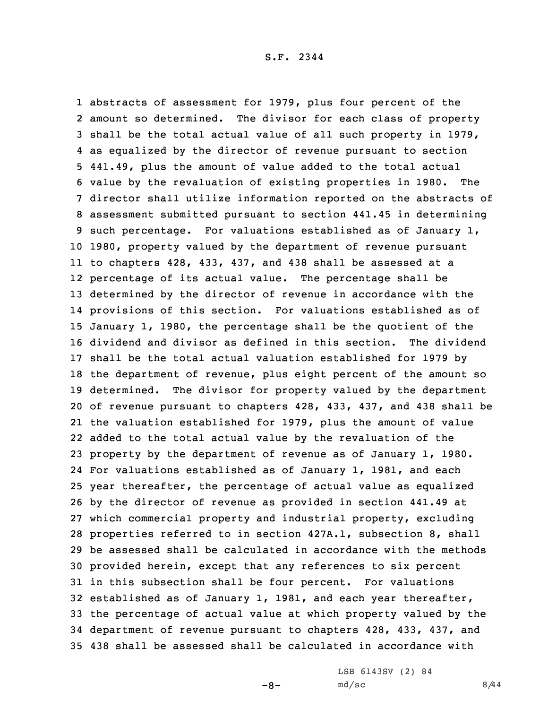abstracts of assessment for 1979, plus four percent of the amount so determined. The divisor for each class of property shall be the total actual value of all such property in 1979, as equalized by the director of revenue pursuant to section 441.49, plus the amount of value added to the total actual value by the revaluation of existing properties in 1980. The director shall utilize information reported on the abstracts of assessment submitted pursuant to section 441.45 in determining such percentage. For valuations established as of January 1, 1980, property valued by the department of revenue pursuant to chapters 428, 433, 437, and 438 shall be assessed at <sup>a</sup> percentage of its actual value. The percentage shall be determined by the director of revenue in accordance with the provisions of this section. For valuations established as of January 1, 1980, the percentage shall be the quotient of the dividend and divisor as defined in this section. The dividend shall be the total actual valuation established for 1979 by the department of revenue, plus eight percent of the amount so determined. The divisor for property valued by the department of revenue pursuant to chapters 428, 433, 437, and 438 shall be the valuation established for 1979, plus the amount of value added to the total actual value by the revaluation of the property by the department of revenue as of January 1, 1980. For valuations established as of January 1, 1981, and each year thereafter, the percentage of actual value as equalized by the director of revenue as provided in section 441.49 at which commercial property and industrial property, excluding properties referred to in section 427A.1, subsection 8, shall be assessed shall be calculated in accordance with the methods provided herein, except that any references to six percent in this subsection shall be four percent. For valuations established as of January 1, 1981, and each year thereafter, the percentage of actual value at which property valued by the department of revenue pursuant to chapters 428, 433, 437, and 438 shall be assessed shall be calculated in accordance with

 $-8-$ 

LSB 6143SV (2) 84  $md/sec$  8/44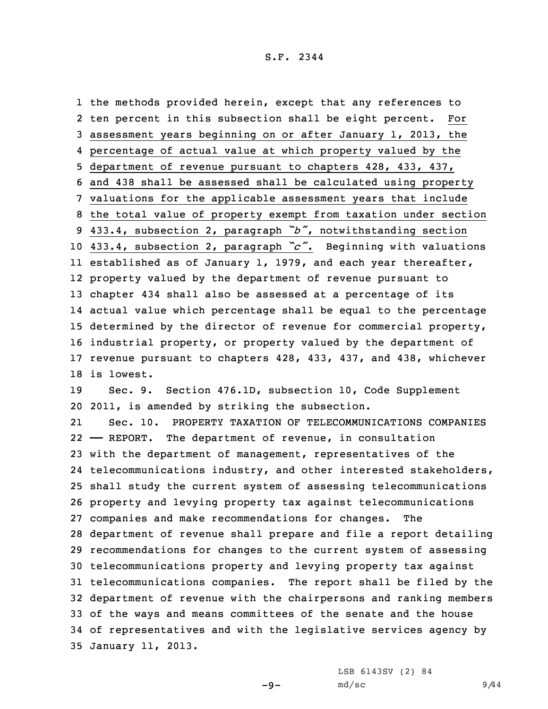the methods provided herein, except that any references to ten percent in this subsection shall be eight percent. For assessment years beginning on or after January 1, 2013, the percentage of actual value at which property valued by the department of revenue pursuant to chapters 428, 433, 437, and 438 shall be assessed shall be calculated using property valuations for the applicable assessment years that include the total value of property exempt from taxation under section 433.4, subsection 2, paragraph *"b"*, notwithstanding section 433.4, subsection 2, paragraph *"c"*. Beginning with valuations established as of January 1, 1979, and each year thereafter, property valued by the department of revenue pursuant to chapter 434 shall also be assessed at <sup>a</sup> percentage of its actual value which percentage shall be equal to the percentage determined by the director of revenue for commercial property, industrial property, or property valued by the department of revenue pursuant to chapters 428, 433, 437, and 438, whichever is lowest.

19 Sec. 9. Section 476.1D, subsection 10, Code Supplement 20 2011, is amended by striking the subsection.

21 Sec. 10. PROPERTY TAXATION OF TELECOMMUNICATIONS COMPANIES —— REPORT. The department of revenue, in consultation with the department of management, representatives of the telecommunications industry, and other interested stakeholders, shall study the current system of assessing telecommunications property and levying property tax against telecommunications companies and make recommendations for changes. The department of revenue shall prepare and file <sup>a</sup> report detailing recommendations for changes to the current system of assessing telecommunications property and levying property tax against telecommunications companies. The report shall be filed by the department of revenue with the chairpersons and ranking members of the ways and means committees of the senate and the house of representatives and with the legislative services agency by January 11, 2013.

LSB 6143SV (2) 84

-9-

md/sc 9/44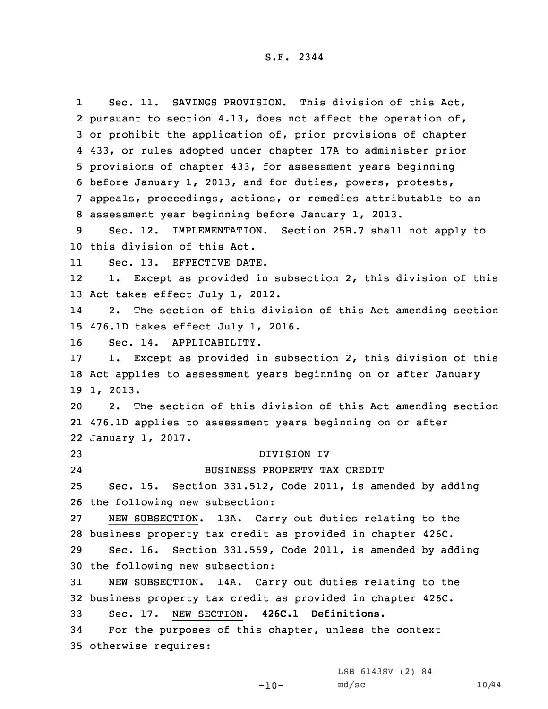1 Sec. 11. SAVINGS PROVISION. This division of this Act, pursuant to section 4.13, does not affect the operation of, or prohibit the application of, prior provisions of chapter 433, or rules adopted under chapter 17A to administer prior provisions of chapter 433, for assessment years beginning before January 1, 2013, and for duties, powers, protests, appeals, proceedings, actions, or remedies attributable to an assessment year beginning before January 1, 2013. Sec. 12. IMPLEMENTATION. Section 25B.7 shall not apply to this division of this Act. 11 Sec. 13. EFFECTIVE DATE. 12 1. Except as provided in subsection 2, this division of this Act takes effect July 1, 2012. 14 2. The section of this division of this Act amending section 476.1D takes effect July 1, 2016. Sec. 14. APPLICABILITY. 1. Except as provided in subsection 2, this division of this Act applies to assessment years beginning on or after January 19 1, 2013. 2. The section of this division of this Act amending section 476.1D applies to assessment years beginning on or after January 1, 2017. DIVISION IV 24 BUSINESS PROPERTY TAX CREDIT Sec. 15. Section 331.512, Code 2011, is amended by adding the following new subsection: NEW SUBSECTION. 13A. Carry out duties relating to the business property tax credit as provided in chapter 426C. Sec. 16. Section 331.559, Code 2011, is amended by adding the following new subsection: NEW SUBSECTION. 14A. Carry out duties relating to the business property tax credit as provided in chapter 426C. Sec. 17. NEW SECTION. **426C.1 Definitions.** For the purposes of this chapter, unless the context otherwise requires:

LSB 6143SV (2) 84

 $-10-$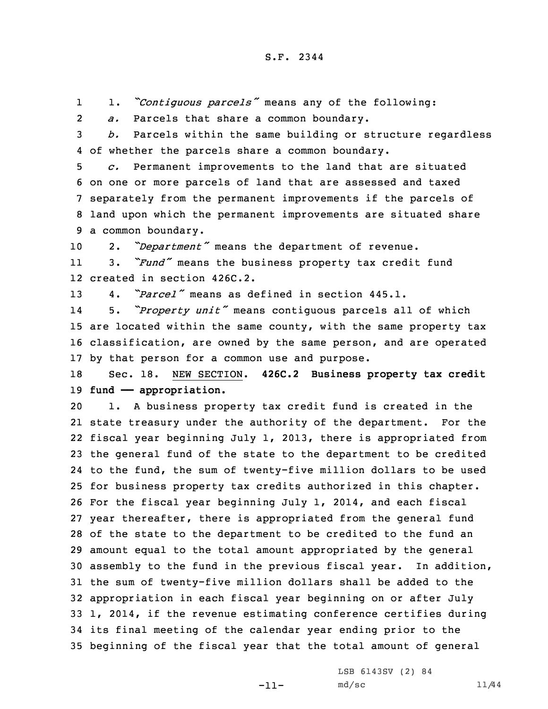11. *"Contiguous parcels"* means any of the following:

2*a.* Parcels that share <sup>a</sup> common boundary.

3 *b.* Parcels within the same building or structure regardless 4 of whether the parcels share <sup>a</sup> common boundary.

 *c.* Permanent improvements to the land that are situated on one or more parcels of land that are assessed and taxed separately from the permanent improvements if the parcels of land upon which the permanent improvements are situated share <sup>a</sup> common boundary.

<sup>10</sup> 2. *"Department"* means the department of revenue.

11 3. *"Fund"* means the business property tax credit fund 12 created in section 426C.2.

13 4. *"Parcel"* means as defined in section 445.1.

14 5. *"Property unit"* means contiguous parcels all of which 15 are located within the same county, with the same property tax 16 classification, are owned by the same person, and are operated 17 by that person for <sup>a</sup> common use and purpose.

18 Sec. 18. NEW SECTION. **426C.2 Business property tax credit** 19 **fund —— appropriation.**

 1. <sup>A</sup> business property tax credit fund is created in the state treasury under the authority of the department. For the fiscal year beginning July 1, 2013, there is appropriated from the general fund of the state to the department to be credited to the fund, the sum of twenty-five million dollars to be used for business property tax credits authorized in this chapter. For the fiscal year beginning July 1, 2014, and each fiscal year thereafter, there is appropriated from the general fund of the state to the department to be credited to the fund an amount equal to the total amount appropriated by the general assembly to the fund in the previous fiscal year. In addition, the sum of twenty-five million dollars shall be added to the appropriation in each fiscal year beginning on or after July 1, 2014, if the revenue estimating conference certifies during its final meeting of the calendar year ending prior to the beginning of the fiscal year that the total amount of general

-11-

LSB 6143SV (2) 84 md/sc 11/44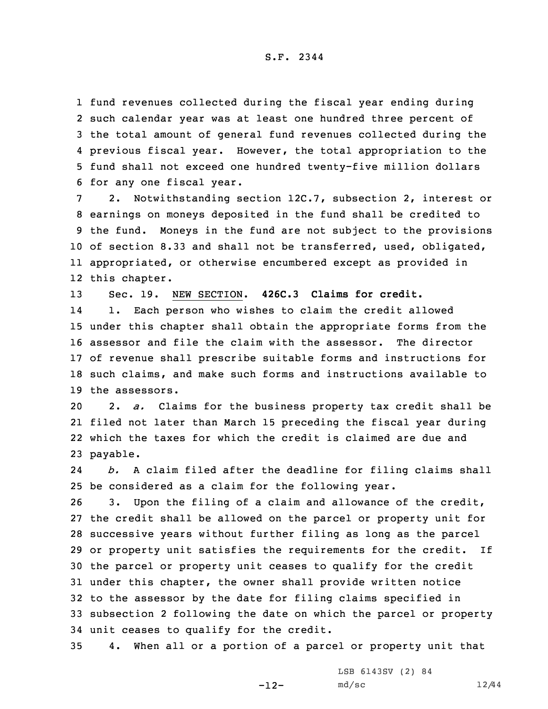fund revenues collected during the fiscal year ending during such calendar year was at least one hundred three percent of the total amount of general fund revenues collected during the previous fiscal year. However, the total appropriation to the fund shall not exceed one hundred twenty-five million dollars for any one fiscal year.

 2. Notwithstanding section 12C.7, subsection 2, interest or earnings on moneys deposited in the fund shall be credited to the fund. Moneys in the fund are not subject to the provisions of section 8.33 and shall not be transferred, used, obligated, appropriated, or otherwise encumbered except as provided in this chapter.

13 Sec. 19. NEW SECTION. **426C.3 Claims for credit.**

14 1. Each person who wishes to claim the credit allowed under this chapter shall obtain the appropriate forms from the assessor and file the claim with the assessor. The director of revenue shall prescribe suitable forms and instructions for such claims, and make such forms and instructions available to the assessors.

 2. *a.* Claims for the business property tax credit shall be filed not later than March 15 preceding the fiscal year during which the taxes for which the credit is claimed are due and 23 payable.

24 *b.* <sup>A</sup> claim filed after the deadline for filing claims shall 25 be considered as <sup>a</sup> claim for the following year.

 3. Upon the filing of <sup>a</sup> claim and allowance of the credit, the credit shall be allowed on the parcel or property unit for successive years without further filing as long as the parcel or property unit satisfies the requirements for the credit. If the parcel or property unit ceases to qualify for the credit under this chapter, the owner shall provide written notice to the assessor by the date for filing claims specified in subsection 2 following the date on which the parcel or property unit ceases to qualify for the credit.

35 4. When all or <sup>a</sup> portion of <sup>a</sup> parcel or property unit that

-12-

LSB 6143SV (2) 84 md/sc 12/44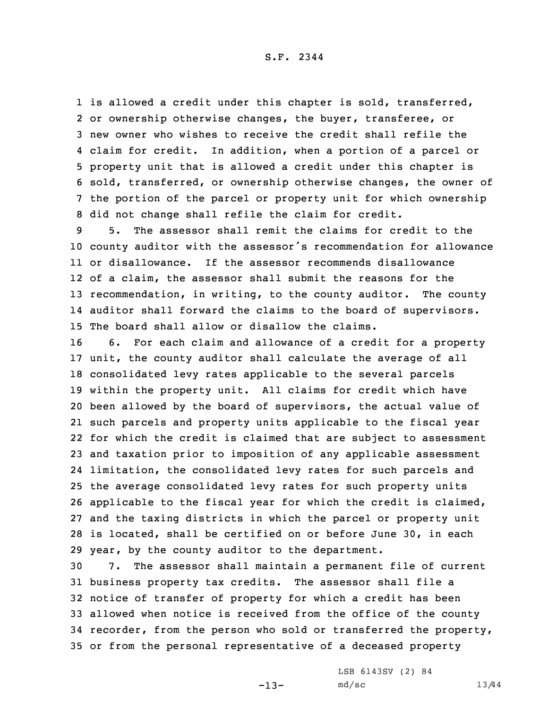1 is allowed a credit under this chapter is sold, transferred, or ownership otherwise changes, the buyer, transferee, or new owner who wishes to receive the credit shall refile the claim for credit. In addition, when <sup>a</sup> portion of <sup>a</sup> parcel or property unit that is allowed <sup>a</sup> credit under this chapter is sold, transferred, or ownership otherwise changes, the owner of the portion of the parcel or property unit for which ownership did not change shall refile the claim for credit.

 5. The assessor shall remit the claims for credit to the county auditor with the assessor's recommendation for allowance or disallowance. If the assessor recommends disallowance of <sup>a</sup> claim, the assessor shall submit the reasons for the recommendation, in writing, to the county auditor. The county auditor shall forward the claims to the board of supervisors. The board shall allow or disallow the claims.

 6. For each claim and allowance of <sup>a</sup> credit for <sup>a</sup> property unit, the county auditor shall calculate the average of all consolidated levy rates applicable to the several parcels within the property unit. All claims for credit which have been allowed by the board of supervisors, the actual value of such parcels and property units applicable to the fiscal year for which the credit is claimed that are subject to assessment and taxation prior to imposition of any applicable assessment limitation, the consolidated levy rates for such parcels and the average consolidated levy rates for such property units applicable to the fiscal year for which the credit is claimed, and the taxing districts in which the parcel or property unit is located, shall be certified on or before June 30, in each year, by the county auditor to the department.

 7. The assessor shall maintain <sup>a</sup> permanent file of current business property tax credits. The assessor shall file <sup>a</sup> notice of transfer of property for which <sup>a</sup> credit has been allowed when notice is received from the office of the county recorder, from the person who sold or transferred the property, or from the personal representative of <sup>a</sup> deceased property

-13-

LSB 6143SV (2) 84 md/sc 13/44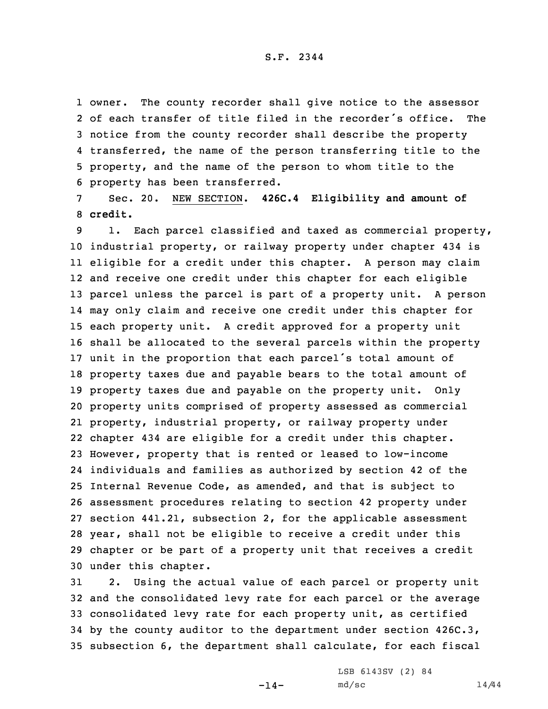owner. The county recorder shall give notice to the assessor of each transfer of title filed in the recorder's office. The notice from the county recorder shall describe the property transferred, the name of the person transferring title to the property, and the name of the person to whom title to the property has been transferred.

7 Sec. 20. NEW SECTION. **426C.4 Eligibility and amount of** 8 **credit.**

9 1. Each parcel classified and taxed as commercial property, industrial property, or railway property under chapter 434 is eligible for <sup>a</sup> credit under this chapter. <sup>A</sup> person may claim and receive one credit under this chapter for each eligible parcel unless the parcel is part of <sup>a</sup> property unit. <sup>A</sup> person may only claim and receive one credit under this chapter for each property unit. <sup>A</sup> credit approved for <sup>a</sup> property unit shall be allocated to the several parcels within the property unit in the proportion that each parcel's total amount of property taxes due and payable bears to the total amount of property taxes due and payable on the property unit. Only property units comprised of property assessed as commercial property, industrial property, or railway property under chapter 434 are eligible for <sup>a</sup> credit under this chapter. However, property that is rented or leased to low-income individuals and families as authorized by section 42 of the Internal Revenue Code, as amended, and that is subject to assessment procedures relating to section 42 property under section 441.21, subsection 2, for the applicable assessment year, shall not be eligible to receive <sup>a</sup> credit under this chapter or be part of <sup>a</sup> property unit that receives <sup>a</sup> credit under this chapter.

 2. Using the actual value of each parcel or property unit and the consolidated levy rate for each parcel or the average consolidated levy rate for each property unit, as certified by the county auditor to the department under section 426C.3, subsection 6, the department shall calculate, for each fiscal

 $-14-$ 

LSB 6143SV (2) 84  $md/sc$   $14/44$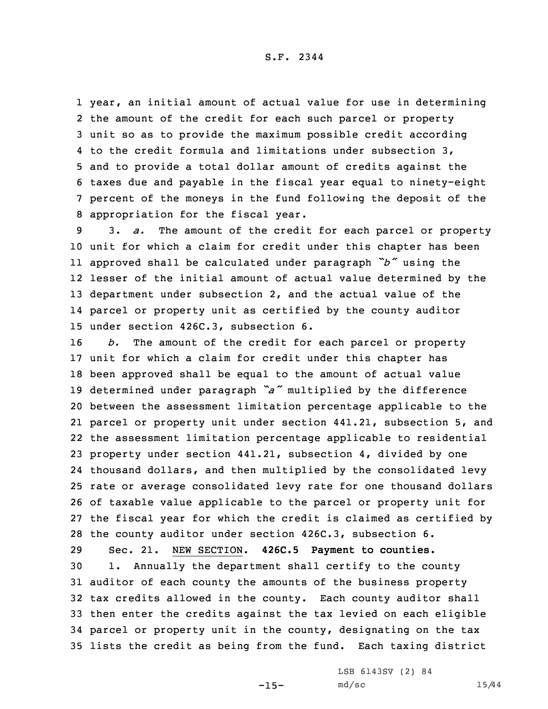year, an initial amount of actual value for use in determining the amount of the credit for each such parcel or property unit so as to provide the maximum possible credit according to the credit formula and limitations under subsection 3, and to provide <sup>a</sup> total dollar amount of credits against the taxes due and payable in the fiscal year equal to ninety-eight percent of the moneys in the fund following the deposit of the appropriation for the fiscal year.

 3. *a.* The amount of the credit for each parcel or property unit for which <sup>a</sup> claim for credit under this chapter has been approved shall be calculated under paragraph *"b"* using the lesser of the initial amount of actual value determined by the department under subsection 2, and the actual value of the parcel or property unit as certified by the county auditor under section 426C.3, subsection 6.

 *b.* The amount of the credit for each parcel or property unit for which <sup>a</sup> claim for credit under this chapter has been approved shall be equal to the amount of actual value determined under paragraph *"a"* multiplied by the difference between the assessment limitation percentage applicable to the parcel or property unit under section 441.21, subsection 5, and the assessment limitation percentage applicable to residential property under section 441.21, subsection 4, divided by one thousand dollars, and then multiplied by the consolidated levy rate or average consolidated levy rate for one thousand dollars of taxable value applicable to the parcel or property unit for the fiscal year for which the credit is claimed as certified by the county auditor under section 426C.3, subsection 6. Sec. 21. NEW SECTION. **426C.5 Payment to counties.**

 1. Annually the department shall certify to the county auditor of each county the amounts of the business property tax credits allowed in the county. Each county auditor shall then enter the credits against the tax levied on each eligible parcel or property unit in the county, designating on the tax lists the credit as being from the fund. Each taxing district

 $-15-$ 

LSB 6143SV (2) 84 md/sc 15/44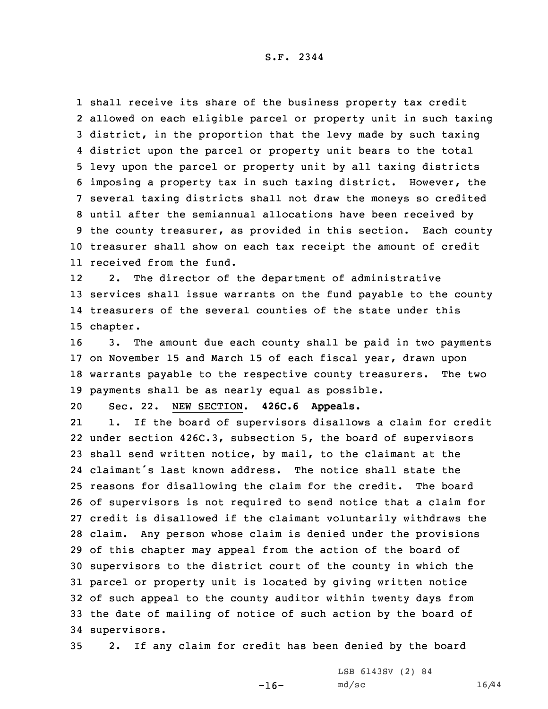shall receive its share of the business property tax credit allowed on each eligible parcel or property unit in such taxing district, in the proportion that the levy made by such taxing district upon the parcel or property unit bears to the total levy upon the parcel or property unit by all taxing districts imposing <sup>a</sup> property tax in such taxing district. However, the several taxing districts shall not draw the moneys so credited until after the semiannual allocations have been received by the county treasurer, as provided in this section. Each county treasurer shall show on each tax receipt the amount of credit received from the fund.

12 2. The director of the department of administrative 13 services shall issue warrants on the fund payable to the county 14 treasurers of the several counties of the state under this 15 chapter.

 3. The amount due each county shall be paid in two payments on November 15 and March 15 of each fiscal year, drawn upon warrants payable to the respective county treasurers. The two payments shall be as nearly equal as possible.

20 Sec. 22. NEW SECTION. **426C.6 Appeals.**

21 1. If the board of supervisors disallows <sup>a</sup> claim for credit under section 426C.3, subsection 5, the board of supervisors shall send written notice, by mail, to the claimant at the claimant's last known address. The notice shall state the reasons for disallowing the claim for the credit. The board of supervisors is not required to send notice that <sup>a</sup> claim for credit is disallowed if the claimant voluntarily withdraws the claim. Any person whose claim is denied under the provisions of this chapter may appeal from the action of the board of supervisors to the district court of the county in which the parcel or property unit is located by giving written notice of such appeal to the county auditor within twenty days from the date of mailing of notice of such action by the board of supervisors.

35 2. If any claim for credit has been denied by the board

 $-16-$ 

LSB 6143SV (2) 84 md/sc 16/44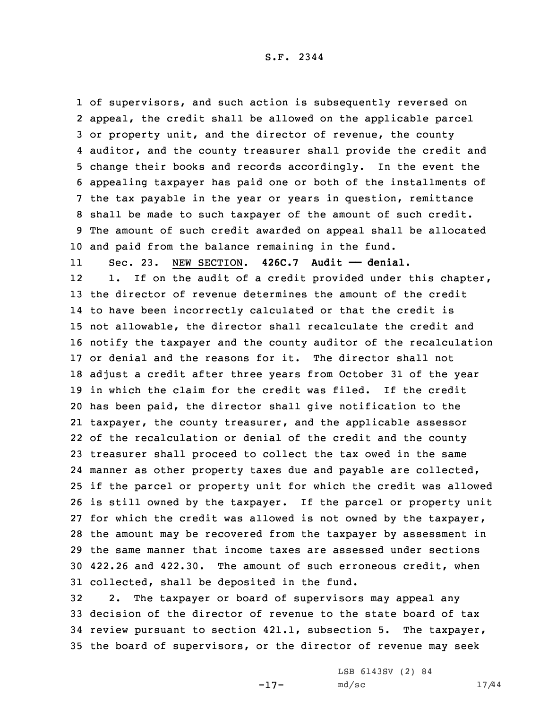of supervisors, and such action is subsequently reversed on appeal, the credit shall be allowed on the applicable parcel or property unit, and the director of revenue, the county auditor, and the county treasurer shall provide the credit and change their books and records accordingly. In the event the appealing taxpayer has paid one or both of the installments of the tax payable in the year or years in question, remittance shall be made to such taxpayer of the amount of such credit. The amount of such credit awarded on appeal shall be allocated and paid from the balance remaining in the fund.

11Sec. 23. NEW SECTION. **426C.7 Audit —— denial.**

12 1. If on the audit of <sup>a</sup> credit provided under this chapter, the director of revenue determines the amount of the credit to have been incorrectly calculated or that the credit is not allowable, the director shall recalculate the credit and notify the taxpayer and the county auditor of the recalculation or denial and the reasons for it. The director shall not adjust <sup>a</sup> credit after three years from October 31 of the year in which the claim for the credit was filed. If the credit has been paid, the director shall give notification to the taxpayer, the county treasurer, and the applicable assessor of the recalculation or denial of the credit and the county treasurer shall proceed to collect the tax owed in the same manner as other property taxes due and payable are collected, if the parcel or property unit for which the credit was allowed is still owned by the taxpayer. If the parcel or property unit for which the credit was allowed is not owned by the taxpayer, the amount may be recovered from the taxpayer by assessment in the same manner that income taxes are assessed under sections 422.26 and 422.30. The amount of such erroneous credit, when collected, shall be deposited in the fund.

 2. The taxpayer or board of supervisors may appeal any decision of the director of revenue to the state board of tax review pursuant to section 421.1, subsection 5. The taxpayer, the board of supervisors, or the director of revenue may seek

-17-

LSB 6143SV (2) 84 md/sc 17/44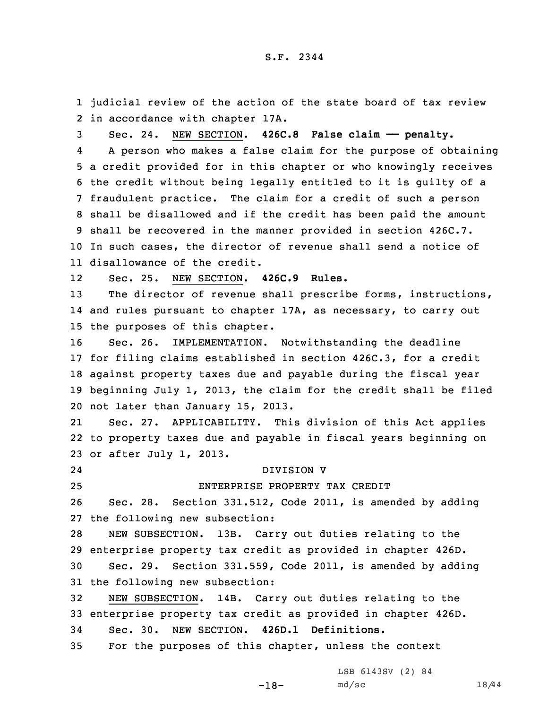1 judicial review of the action of the state board of tax review 2 in accordance with chapter 17A.

 Sec. 24. NEW SECTION. **426C.8 False claim —— penalty.** 4 <sup>A</sup> person who makes <sup>a</sup> false claim for the purpose of obtaining <sup>a</sup> credit provided for in this chapter or who knowingly receives the credit without being legally entitled to it is guilty of <sup>a</sup> fraudulent practice. The claim for <sup>a</sup> credit of such <sup>a</sup> person shall be disallowed and if the credit has been paid the amount shall be recovered in the manner provided in section 426C.7. In such cases, the director of revenue shall send <sup>a</sup> notice of disallowance of the credit.

12Sec. 25. NEW SECTION. **426C.9 Rules.**

13 The director of revenue shall prescribe forms, instructions, 14 and rules pursuant to chapter 17A, as necessary, to carry out 15 the purposes of this chapter.

 Sec. 26. IMPLEMENTATION. Notwithstanding the deadline for filing claims established in section 426C.3, for <sup>a</sup> credit against property taxes due and payable during the fiscal year beginning July 1, 2013, the claim for the credit shall be filed not later than January 15, 2013.

21 Sec. 27. APPLICABILITY. This division of this Act applies 22 to property taxes due and payable in fiscal years beginning on 23 or after July 1, 2013.

24

# DIVISION V

25 ENTERPRISE PROPERTY TAX CREDIT

26 Sec. 28. Section 331.512, Code 2011, is amended by adding 27 the following new subsection:

 NEW SUBSECTION. 13B. Carry out duties relating to the enterprise property tax credit as provided in chapter 426D. Sec. 29. Section 331.559, Code 2011, is amended by adding the following new subsection:

32 NEW SUBSECTION. 14B. Carry out duties relating to the 33 enterprise property tax credit as provided in chapter 426D. 34 Sec. 30. NEW SECTION. **426D.1 Definitions.**

35 For the purposes of this chapter, unless the context

LSB 6143SV (2) 84

-18-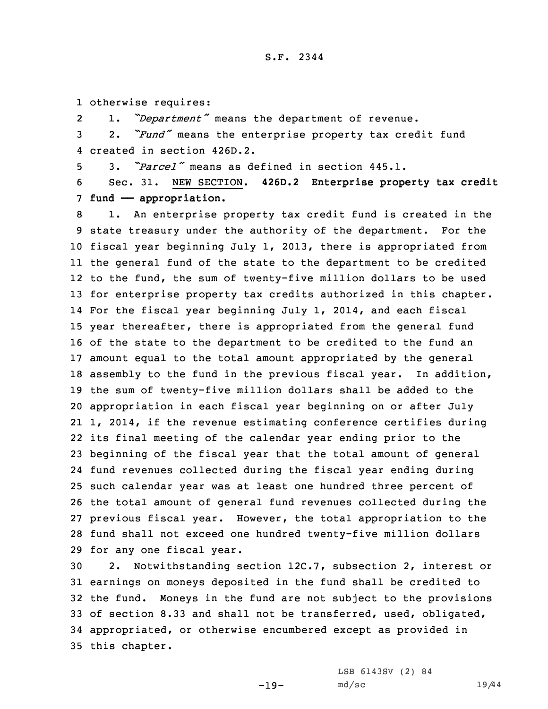1 otherwise requires:

21. *"Department"* means the department of revenue.

<sup>3</sup> 2. *"Fund"* means the enterprise property tax credit fund 4 created in section 426D.2.

5 3. *"Parcel"* means as defined in section 445.1.

6 Sec. 31. NEW SECTION. **426D.2 Enterprise property tax credit** 7 **fund —— appropriation.**

 1. An enterprise property tax credit fund is created in the state treasury under the authority of the department. For the fiscal year beginning July 1, 2013, there is appropriated from the general fund of the state to the department to be credited to the fund, the sum of twenty-five million dollars to be used for enterprise property tax credits authorized in this chapter. For the fiscal year beginning July 1, 2014, and each fiscal year thereafter, there is appropriated from the general fund of the state to the department to be credited to the fund an amount equal to the total amount appropriated by the general assembly to the fund in the previous fiscal year. In addition, the sum of twenty-five million dollars shall be added to the appropriation in each fiscal year beginning on or after July 1, 2014, if the revenue estimating conference certifies during its final meeting of the calendar year ending prior to the beginning of the fiscal year that the total amount of general fund revenues collected during the fiscal year ending during such calendar year was at least one hundred three percent of the total amount of general fund revenues collected during the previous fiscal year. However, the total appropriation to the fund shall not exceed one hundred twenty-five million dollars for any one fiscal year.

 2. Notwithstanding section 12C.7, subsection 2, interest or earnings on moneys deposited in the fund shall be credited to the fund. Moneys in the fund are not subject to the provisions of section 8.33 and shall not be transferred, used, obligated, appropriated, or otherwise encumbered except as provided in this chapter.

-19-

LSB 6143SV (2) 84 md/sc 19/44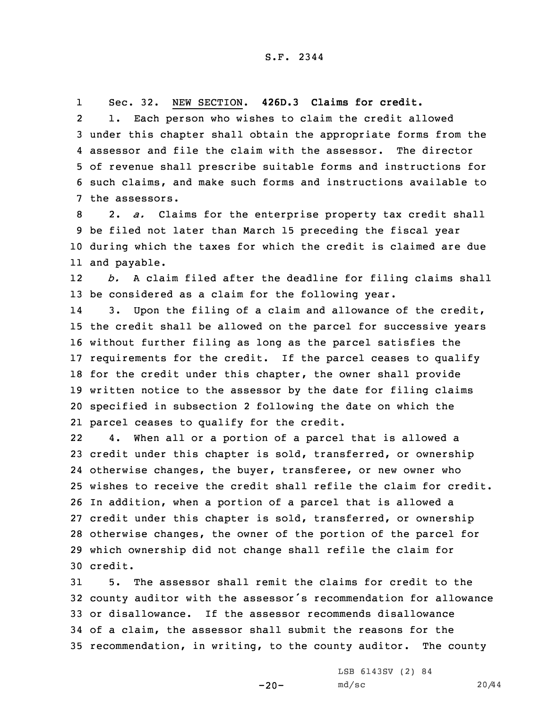1Sec. 32. NEW SECTION. **426D.3 Claims for credit.**

2 1. Each person who wishes to claim the credit allowed under this chapter shall obtain the appropriate forms from the assessor and file the claim with the assessor. The director of revenue shall prescribe suitable forms and instructions for such claims, and make such forms and instructions available to the assessors.

 2. *a.* Claims for the enterprise property tax credit shall be filed not later than March 15 preceding the fiscal year during which the taxes for which the credit is claimed are due and payable.

12 *b.* <sup>A</sup> claim filed after the deadline for filing claims shall 13 be considered as <sup>a</sup> claim for the following year.

14 3. Upon the filing of <sup>a</sup> claim and allowance of the credit, the credit shall be allowed on the parcel for successive years without further filing as long as the parcel satisfies the requirements for the credit. If the parcel ceases to qualify 18 for the credit under this chapter, the owner shall provide written notice to the assessor by the date for filing claims specified in subsection 2 following the date on which the parcel ceases to qualify for the credit.

22 4. When all or <sup>a</sup> portion of <sup>a</sup> parcel that is allowed <sup>a</sup> credit under this chapter is sold, transferred, or ownership otherwise changes, the buyer, transferee, or new owner who wishes to receive the credit shall refile the claim for credit. In addition, when <sup>a</sup> portion of <sup>a</sup> parcel that is allowed <sup>a</sup> credit under this chapter is sold, transferred, or ownership otherwise changes, the owner of the portion of the parcel for which ownership did not change shall refile the claim for 30 credit.

 5. The assessor shall remit the claims for credit to the county auditor with the assessor's recommendation for allowance or disallowance. If the assessor recommends disallowance of <sup>a</sup> claim, the assessor shall submit the reasons for the recommendation, in writing, to the county auditor. The county

 $-20-$ 

LSB 6143SV (2) 84 md/sc 20/44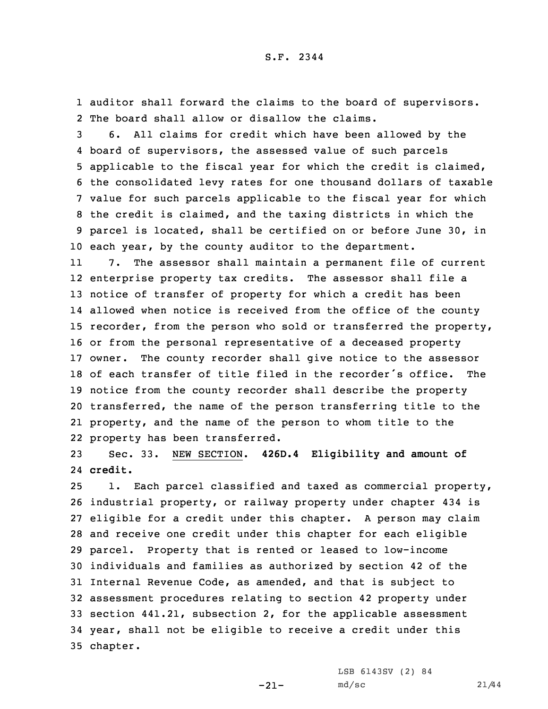1 auditor shall forward the claims to the board of supervisors. 2 The board shall allow or disallow the claims.

 6. All claims for credit which have been allowed by the board of supervisors, the assessed value of such parcels applicable to the fiscal year for which the credit is claimed, the consolidated levy rates for one thousand dollars of taxable value for such parcels applicable to the fiscal year for which the credit is claimed, and the taxing districts in which the parcel is located, shall be certified on or before June 30, in each year, by the county auditor to the department.

11 7. The assessor shall maintain <sup>a</sup> permanent file of current enterprise property tax credits. The assessor shall file <sup>a</sup> notice of transfer of property for which <sup>a</sup> credit has been allowed when notice is received from the office of the county recorder, from the person who sold or transferred the property, or from the personal representative of <sup>a</sup> deceased property owner. The county recorder shall give notice to the assessor of each transfer of title filed in the recorder's office. The notice from the county recorder shall describe the property transferred, the name of the person transferring title to the property, and the name of the person to whom title to the property has been transferred.

23 Sec. 33. NEW SECTION. **426D.4 Eligibility and amount of** 24 **credit.**

 1. Each parcel classified and taxed as commercial property, industrial property, or railway property under chapter 434 is eligible for <sup>a</sup> credit under this chapter. <sup>A</sup> person may claim and receive one credit under this chapter for each eligible parcel. Property that is rented or leased to low-income individuals and families as authorized by section 42 of the Internal Revenue Code, as amended, and that is subject to assessment procedures relating to section 42 property under section 441.21, subsection 2, for the applicable assessment year, shall not be eligible to receive <sup>a</sup> credit under this 35 chapter.

 $-21-$ 

LSB 6143SV (2) 84 md/sc 21/44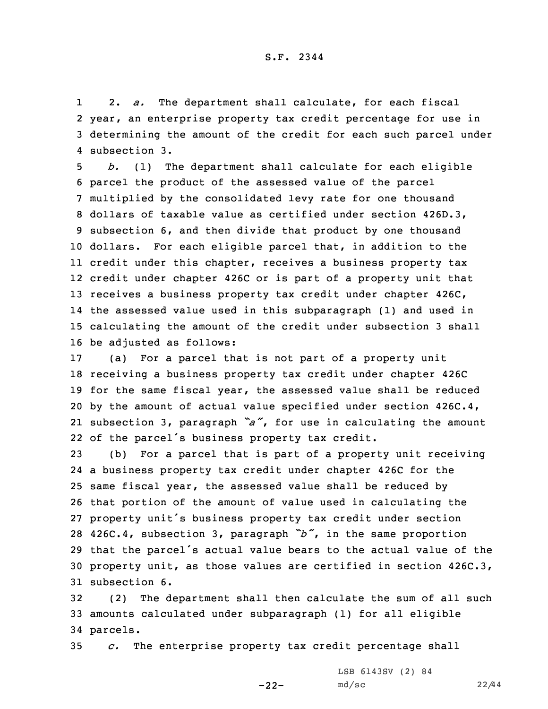1 2. *a.* The department shall calculate, for each fiscal 2 year, an enterprise property tax credit percentage for use in 3 determining the amount of the credit for each such parcel under 4 subsection 3.

 *b.* (1) The department shall calculate for each eligible parcel the product of the assessed value of the parcel multiplied by the consolidated levy rate for one thousand dollars of taxable value as certified under section 426D.3, subsection 6, and then divide that product by one thousand dollars. For each eligible parcel that, in addition to the credit under this chapter, receives <sup>a</sup> business property tax credit under chapter 426C or is part of <sup>a</sup> property unit that 13 receives a business property tax credit under chapter 426C, the assessed value used in this subparagraph (1) and used in calculating the amount of the credit under subsection 3 shall be adjusted as follows:

 (a) For <sup>a</sup> parcel that is not part of <sup>a</sup> property unit receiving <sup>a</sup> business property tax credit under chapter 426C for the same fiscal year, the assessed value shall be reduced by the amount of actual value specified under section 426C.4, subsection 3, paragraph *"a"*, for use in calculating the amount of the parcel's business property tax credit.

 (b) For <sup>a</sup> parcel that is part of <sup>a</sup> property unit receiving <sup>a</sup> business property tax credit under chapter 426C for the same fiscal year, the assessed value shall be reduced by that portion of the amount of value used in calculating the property unit's business property tax credit under section 426C.4, subsection 3, paragraph *"b"*, in the same proportion that the parcel's actual value bears to the actual value of the property unit, as those values are certified in section 426C.3, subsection 6.

32 (2) The department shall then calculate the sum of all such 33 amounts calculated under subparagraph (1) for all eligible 34 parcels.

-22-

35 *c.* The enterprise property tax credit percentage shall

LSB 6143SV (2) 84 md/sc 22/44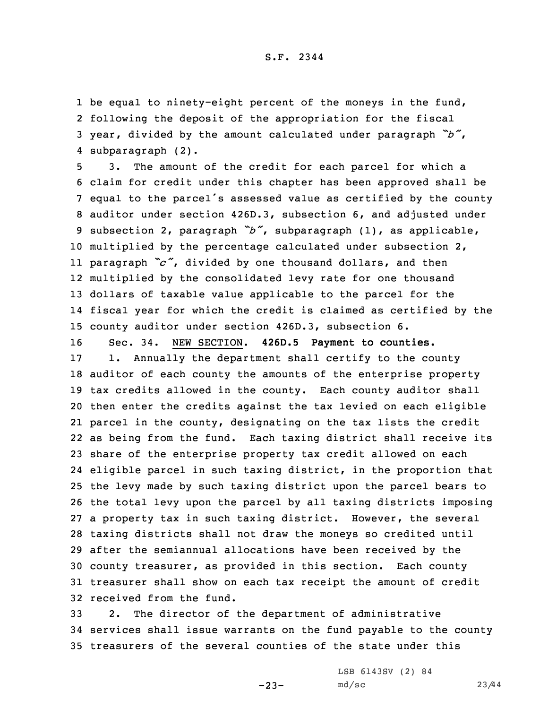1 be equal to ninety-eight percent of the moneys in the fund, following the deposit of the appropriation for the fiscal year, divided by the amount calculated under paragraph *"b"*, subparagraph (2).

 3. The amount of the credit for each parcel for which <sup>a</sup> claim for credit under this chapter has been approved shall be equal to the parcel's assessed value as certified by the county auditor under section 426D.3, subsection 6, and adjusted under subsection 2, paragraph *"b"*, subparagraph (1), as applicable, multiplied by the percentage calculated under subsection 2, paragraph *"c"*, divided by one thousand dollars, and then multiplied by the consolidated levy rate for one thousand dollars of taxable value applicable to the parcel for the fiscal year for which the credit is claimed as certified by the county auditor under section 426D.3, subsection 6.

 Sec. 34. NEW SECTION. **426D.5 Payment to counties.** 1. Annually the department shall certify to the county auditor of each county the amounts of the enterprise property tax credits allowed in the county. Each county auditor shall then enter the credits against the tax levied on each eligible parcel in the county, designating on the tax lists the credit as being from the fund. Each taxing district shall receive its share of the enterprise property tax credit allowed on each eligible parcel in such taxing district, in the proportion that the levy made by such taxing district upon the parcel bears to the total levy upon the parcel by all taxing districts imposing <sup>a</sup> property tax in such taxing district. However, the several taxing districts shall not draw the moneys so credited until after the semiannual allocations have been received by the county treasurer, as provided in this section. Each county treasurer shall show on each tax receipt the amount of credit received from the fund.

33 2. The director of the department of administrative 34 services shall issue warrants on the fund payable to the county 35 treasurers of the several counties of the state under this

-23-

LSB 6143SV (2) 84 md/sc 23/44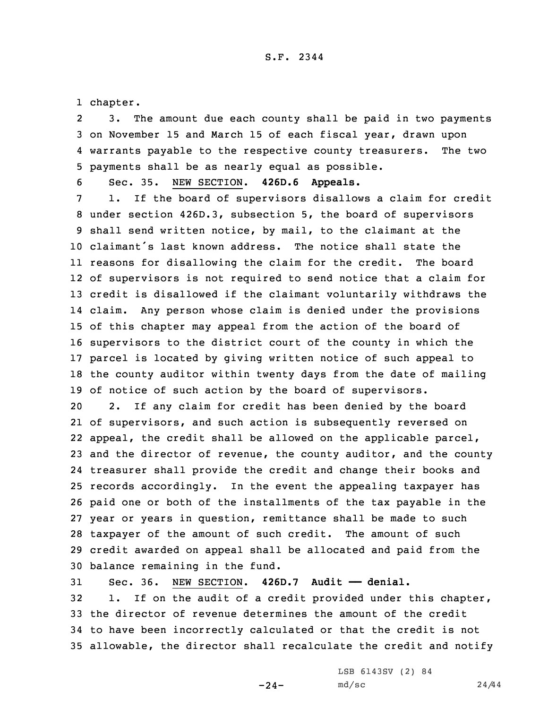1 chapter.

2 3. The amount due each county shall be paid in two payments 3 on November 15 and March 15 of each fiscal year, drawn upon 4 warrants payable to the respective county treasurers. The two 5 payments shall be as nearly equal as possible.

6 Sec. 35. NEW SECTION. **426D.6 Appeals.**

 1. If the board of supervisors disallows <sup>a</sup> claim for credit under section 426D.3, subsection 5, the board of supervisors shall send written notice, by mail, to the claimant at the claimant's last known address. The notice shall state the reasons for disallowing the claim for the credit. The board of supervisors is not required to send notice that <sup>a</sup> claim for credit is disallowed if the claimant voluntarily withdraws the claim. Any person whose claim is denied under the provisions of this chapter may appeal from the action of the board of supervisors to the district court of the county in which the parcel is located by giving written notice of such appeal to the county auditor within twenty days from the date of mailing of notice of such action by the board of supervisors.

 2. If any claim for credit has been denied by the board of supervisors, and such action is subsequently reversed on appeal, the credit shall be allowed on the applicable parcel, and the director of revenue, the county auditor, and the county treasurer shall provide the credit and change their books and records accordingly. In the event the appealing taxpayer has paid one or both of the installments of the tax payable in the year or years in question, remittance shall be made to such taxpayer of the amount of such credit. The amount of such credit awarded on appeal shall be allocated and paid from the balance remaining in the fund.

 Sec. 36. NEW SECTION. **426D.7 Audit —— denial.** 1. If on the audit of <sup>a</sup> credit provided under this chapter, the director of revenue determines the amount of the credit to have been incorrectly calculated or that the credit is not allowable, the director shall recalculate the credit and notify

 $-24-$ 

LSB 6143SV (2) 84 md/sc 24/44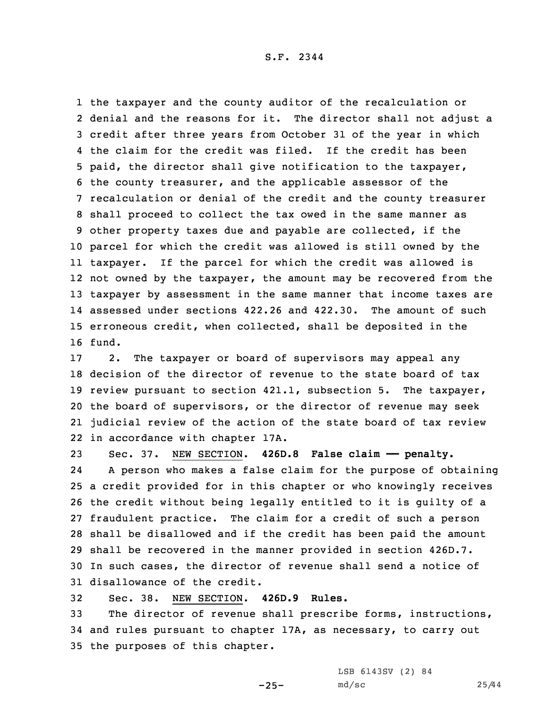the taxpayer and the county auditor of the recalculation or denial and the reasons for it. The director shall not adjust <sup>a</sup> credit after three years from October 31 of the year in which the claim for the credit was filed. If the credit has been paid, the director shall give notification to the taxpayer, the county treasurer, and the applicable assessor of the recalculation or denial of the credit and the county treasurer shall proceed to collect the tax owed in the same manner as other property taxes due and payable are collected, if the parcel for which the credit was allowed is still owned by the taxpayer. If the parcel for which the credit was allowed is not owned by the taxpayer, the amount may be recovered from the taxpayer by assessment in the same manner that income taxes are assessed under sections 422.26 and 422.30. The amount of such erroneous credit, when collected, shall be deposited in the 16 fund.

 2. The taxpayer or board of supervisors may appeal any decision of the director of revenue to the state board of tax review pursuant to section 421.1, subsection 5. The taxpayer, the board of supervisors, or the director of revenue may seek judicial review of the action of the state board of tax review in accordance with chapter 17A.

 Sec. 37. NEW SECTION. **426D.8 False claim —— penalty.** 24 <sup>A</sup> person who makes <sup>a</sup> false claim for the purpose of obtaining <sup>a</sup> credit provided for in this chapter or who knowingly receives the credit without being legally entitled to it is guilty of <sup>a</sup> fraudulent practice. The claim for <sup>a</sup> credit of such <sup>a</sup> person shall be disallowed and if the credit has been paid the amount shall be recovered in the manner provided in section 426D.7. In such cases, the director of revenue shall send <sup>a</sup> notice of disallowance of the credit.

32 Sec. 38. NEW SECTION. **426D.9 Rules.**

33 The director of revenue shall prescribe forms, instructions, 34 and rules pursuant to chapter 17A, as necessary, to carry out 35 the purposes of this chapter.

-25-

LSB 6143SV (2) 84 md/sc 25/44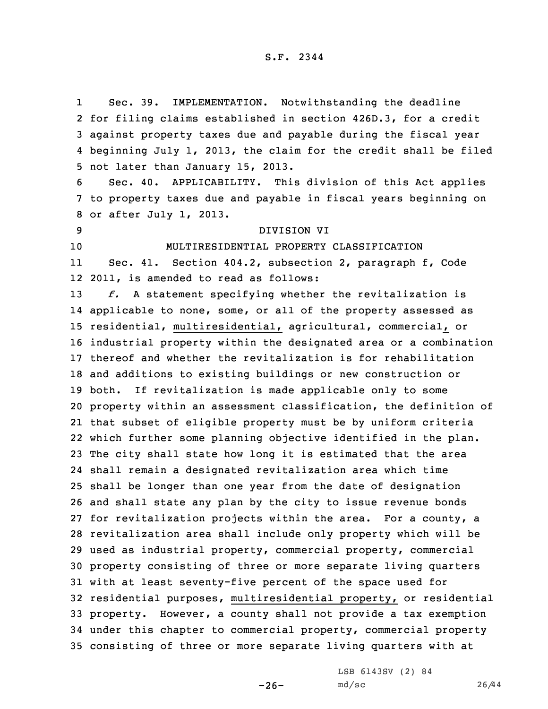1 Sec. 39. IMPLEMENTATION. Notwithstanding the deadline for filing claims established in section 426D.3, for <sup>a</sup> credit against property taxes due and payable during the fiscal year beginning July 1, 2013, the claim for the credit shall be filed not later than January 15, 2013. Sec. 40. APPLICABILITY. This division of this Act applies to property taxes due and payable in fiscal years beginning on or after July 1, 2013. DIVISION VI MULTIRESIDENTIAL PROPERTY CLASSIFICATION 11 Sec. 41. Section 404.2, subsection 2, paragraph f, Code 2011, is amended to read as follows: *f.* <sup>A</sup> statement specifying whether the revitalization is applicable to none, some, or all of the property assessed as residential, multiresidential, agricultural, commercial, or industrial property within the designated area or <sup>a</sup> combination thereof and whether the revitalization is for rehabilitation and additions to existing buildings or new construction or both. If revitalization is made applicable only to some property within an assessment classification, the definition of that subset of eligible property must be by uniform criteria which further some planning objective identified in the plan. The city shall state how long it is estimated that the area shall remain <sup>a</sup> designated revitalization area which time shall be longer than one year from the date of designation and shall state any plan by the city to issue revenue bonds for revitalization projects within the area. For <sup>a</sup> county, <sup>a</sup> revitalization area shall include only property which will be used as industrial property, commercial property, commercial property consisting of three or more separate living quarters with at least seventy-five percent of the space used for residential purposes, multiresidential property, or residential property. However, <sup>a</sup> county shall not provide <sup>a</sup> tax exemption under this chapter to commercial property, commercial property consisting of three or more separate living quarters with at

 $-26-$ 

LSB 6143SV (2) 84 md/sc 26/44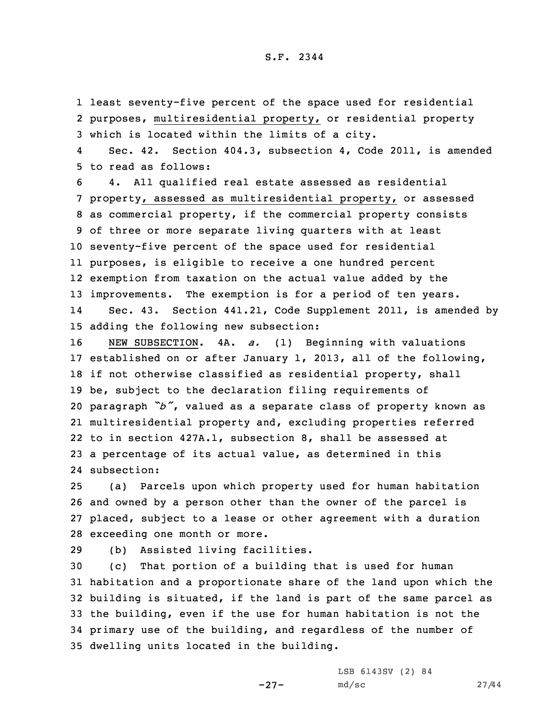1 least seventy-five percent of the space used for residential 2 purposes, multiresidential property, or residential property 3 which is located within the limits of <sup>a</sup> city.

4 Sec. 42. Section 404.3, subsection 4, Code 2011, is amended 5 to read as follows:

 4. All qualified real estate assessed as residential property, assessed as multiresidential property, or assessed as commercial property, if the commercial property consists of three or more separate living quarters with at least seventy-five percent of the space used for residential purposes, is eligible to receive <sup>a</sup> one hundred percent exemption from taxation on the actual value added by the improvements. The exemption is for <sup>a</sup> period of ten years. 14 Sec. 43. Section 441.21, Code Supplement 2011, is amended by adding the following new subsection:

 NEW SUBSECTION. 4A. *a.* (1) Beginning with valuations established on or after January 1, 2013, all of the following, if not otherwise classified as residential property, shall be, subject to the declaration filing requirements of paragraph *"b"*, valued as <sup>a</sup> separate class of property known as multiresidential property and, excluding properties referred to in section 427A.1, subsection 8, shall be assessed at <sup>a</sup> percentage of its actual value, as determined in this subsection:

 (a) Parcels upon which property used for human habitation and owned by <sup>a</sup> person other than the owner of the parcel is placed, subject to <sup>a</sup> lease or other agreement with <sup>a</sup> duration exceeding one month or more.

29 (b) Assisted living facilities.

 (c) That portion of <sup>a</sup> building that is used for human habitation and <sup>a</sup> proportionate share of the land upon which the building is situated, if the land is part of the same parcel as the building, even if the use for human habitation is not the primary use of the building, and regardless of the number of dwelling units located in the building.

-27-

LSB 6143SV (2) 84 md/sc 27/44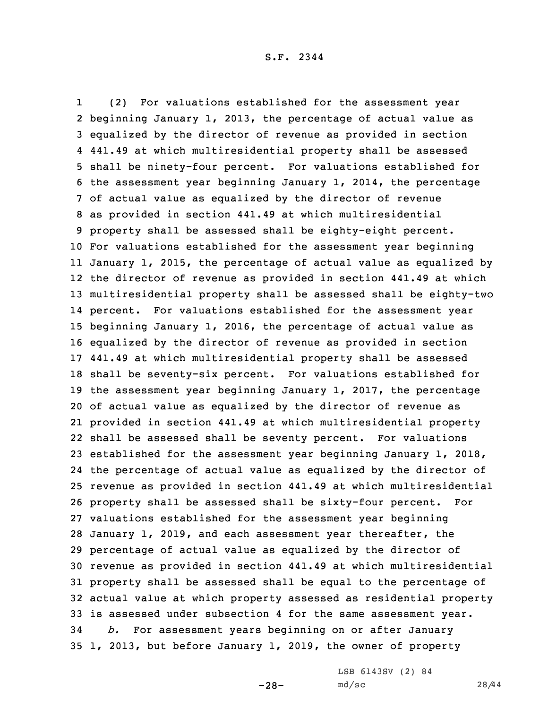1 (2) For valuations established for the assessment year beginning January 1, 2013, the percentage of actual value as equalized by the director of revenue as provided in section 441.49 at which multiresidential property shall be assessed shall be ninety-four percent. For valuations established for the assessment year beginning January 1, 2014, the percentage of actual value as equalized by the director of revenue as provided in section 441.49 at which multiresidential property shall be assessed shall be eighty-eight percent. For valuations established for the assessment year beginning January 1, 2015, the percentage of actual value as equalized by the director of revenue as provided in section 441.49 at which multiresidential property shall be assessed shall be eighty-two percent. For valuations established for the assessment year beginning January 1, 2016, the percentage of actual value as equalized by the director of revenue as provided in section 441.49 at which multiresidential property shall be assessed shall be seventy-six percent. For valuations established for the assessment year beginning January 1, 2017, the percentage of actual value as equalized by the director of revenue as provided in section 441.49 at which multiresidential property shall be assessed shall be seventy percent. For valuations established for the assessment year beginning January 1, 2018, the percentage of actual value as equalized by the director of revenue as provided in section 441.49 at which multiresidential property shall be assessed shall be sixty-four percent. For valuations established for the assessment year beginning January 1, 2019, and each assessment year thereafter, the percentage of actual value as equalized by the director of revenue as provided in section 441.49 at which multiresidential property shall be assessed shall be equal to the percentage of actual value at which property assessed as residential property is assessed under subsection 4 for the same assessment year. *b.* For assessment years beginning on or after January 1, 2013, but before January 1, 2019, the owner of property

-28-

LSB 6143SV (2) 84 md/sc 28/44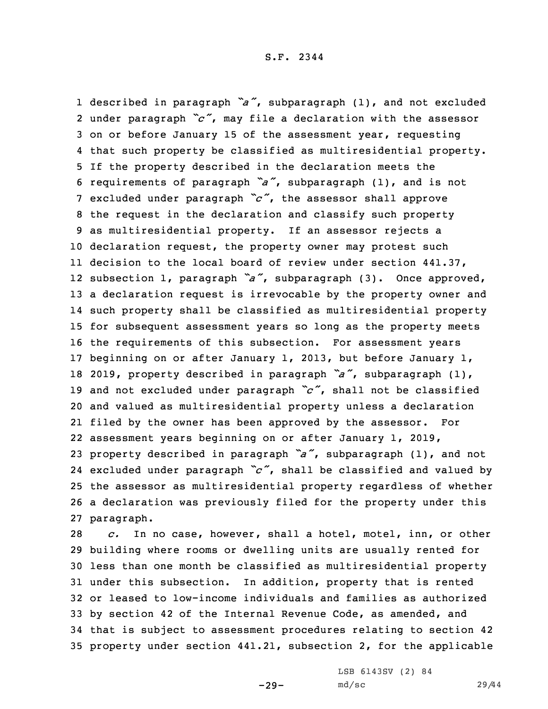described in paragraph *"a"*, subparagraph (1), and not excluded under paragraph *"c"*, may file <sup>a</sup> declaration with the assessor on or before January 15 of the assessment year, requesting that such property be classified as multiresidential property. If the property described in the declaration meets the requirements of paragraph *"a"*, subparagraph (1), and is not excluded under paragraph *"c"*, the assessor shall approve the request in the declaration and classify such property as multiresidential property. If an assessor rejects <sup>a</sup> declaration request, the property owner may protest such decision to the local board of review under section 441.37, subsection 1, paragraph *"a"*, subparagraph (3). Once approved, <sup>a</sup> declaration request is irrevocable by the property owner and such property shall be classified as multiresidential property for subsequent assessment years so long as the property meets the requirements of this subsection. For assessment years beginning on or after January 1, 2013, but before January 1, 2019, property described in paragraph *"a"*, subparagraph (1), and not excluded under paragraph *"c"*, shall not be classified and valued as multiresidential property unless <sup>a</sup> declaration filed by the owner has been approved by the assessor. For assessment years beginning on or after January 1, 2019, property described in paragraph *"a"*, subparagraph (1), and not excluded under paragraph *"c"*, shall be classified and valued by the assessor as multiresidential property regardless of whether <sup>a</sup> declaration was previously filed for the property under this paragraph.

 *c.* In no case, however, shall <sup>a</sup> hotel, motel, inn, or other building where rooms or dwelling units are usually rented for less than one month be classified as multiresidential property under this subsection. In addition, property that is rented or leased to low-income individuals and families as authorized by section 42 of the Internal Revenue Code, as amended, and that is subject to assessment procedures relating to section 42 property under section 441.21, subsection 2, for the applicable

 $-29-$ 

LSB 6143SV (2) 84 md/sc 29/44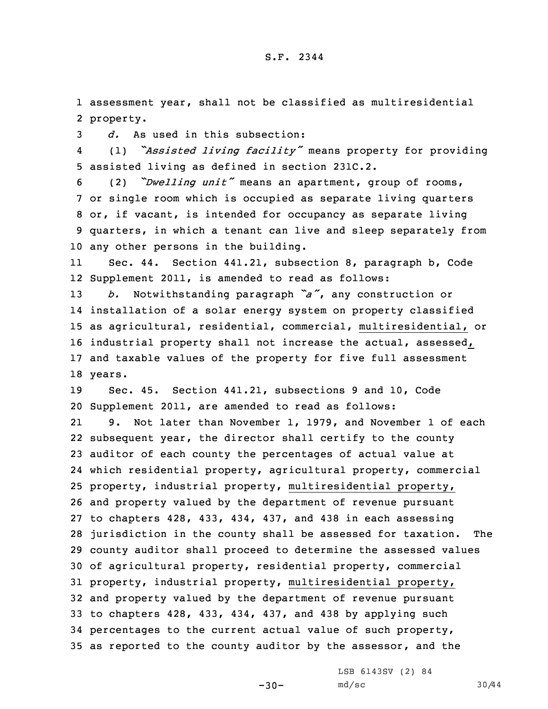1 assessment year, shall not be classified as multiresidential 2 property.

3 *d.* As used in this subsection:

4 (1) *"Assisted living facility"* means property for providing 5 assisted living as defined in section 231C.2.

 (2) *"Dwelling unit"* means an apartment, group of rooms, or single room which is occupied as separate living quarters or, if vacant, is intended for occupancy as separate living quarters, in which <sup>a</sup> tenant can live and sleep separately from any other persons in the building.

11 Sec. 44. Section 441.21, subsection 8, paragraph b, Code 12 Supplement 2011, is amended to read as follows:

 *b.* Notwithstanding paragraph *"a"*, any construction or installation of <sup>a</sup> solar energy system on property classified as agricultural, residential, commercial, multiresidential, or industrial property shall not increase the actual, assessed, and taxable values of the property for five full assessment 18 years.

19 Sec. 45. Section 441.21, subsections 9 and 10, Code 20 Supplement 2011, are amended to read as follows:

21 9. Not later than November 1, 1979, and November 1 of each subsequent year, the director shall certify to the county auditor of each county the percentages of actual value at which residential property, agricultural property, commercial property, industrial property, multiresidential property, and property valued by the department of revenue pursuant to chapters 428, 433, 434, 437, and 438 in each assessing jurisdiction in the county shall be assessed for taxation. The county auditor shall proceed to determine the assessed values of agricultural property, residential property, commercial property, industrial property, multiresidential property, and property valued by the department of revenue pursuant to chapters 428, 433, 434, 437, and 438 by applying such percentages to the current actual value of such property, as reported to the county auditor by the assessor, and the

 $-30-$ 

LSB 6143SV (2) 84 md/sc 30/44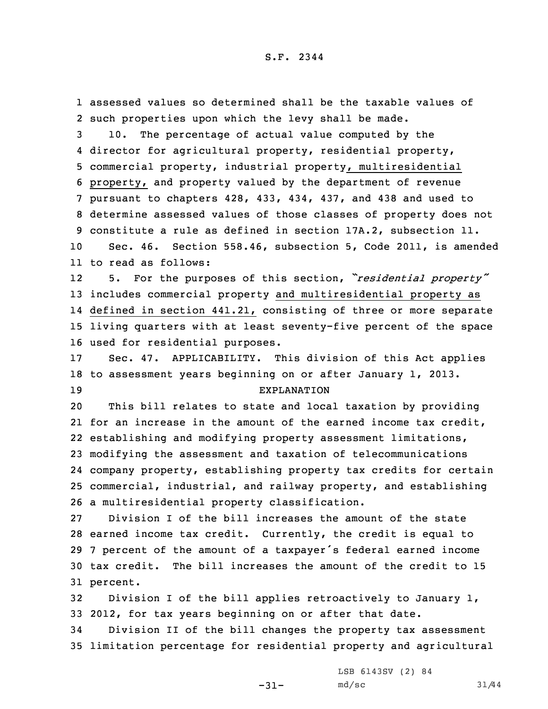assessed values so determined shall be the taxable values of such properties upon which the levy shall be made. 10. The percentage of actual value computed by the director for agricultural property, residential property, commercial property, industrial property, multiresidential property, and property valued by the department of revenue pursuant to chapters 428, 433, 434, 437, and 438 and used to determine assessed values of those classes of property does not constitute <sup>a</sup> rule as defined in section 17A.2, subsection 11. Sec. 46. Section 558.46, subsection 5, Code 2011, is amended to read as follows: 12 5. For the purposes of this section, *"residential property"* includes commercial property and multiresidential property as defined in section 441.21, consisting of three or more separate living quarters with at least seventy-five percent of the space used for residential purposes. Sec. 47. APPLICABILITY. This division of this Act applies to assessment years beginning on or after January 1, 2013. EXPLANATION This bill relates to state and local taxation by providing for an increase in the amount of the earned income tax credit, establishing and modifying property assessment limitations, modifying the assessment and taxation of telecommunications company property, establishing property tax credits for certain commercial, industrial, and railway property, and establishing <sup>a</sup> multiresidential property classification. Division I of the bill increases the amount of the state earned income tax credit. Currently, the credit is equal to <sup>7</sup> percent of the amount of <sup>a</sup> taxpayer's federal earned income tax credit. The bill increases the amount of the credit to 15 31 percent. Division <sup>I</sup> of the bill applies retroactively to January 1, 2012, for tax years beginning on or after that date. Division II of the bill changes the property tax assessment

35 limitation percentage for residential property and agricultural

-31-

LSB 6143SV (2) 84 md/sc 31/44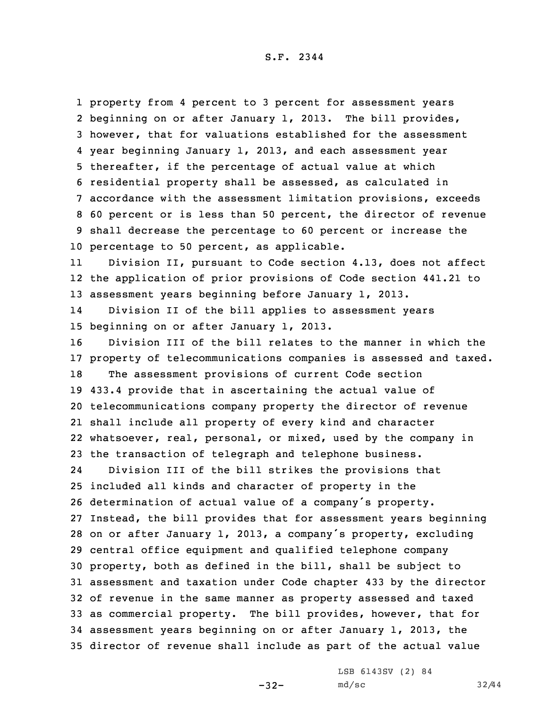property from 4 percent to 3 percent for assessment years beginning on or after January 1, 2013. The bill provides, however, that for valuations established for the assessment year beginning January 1, 2013, and each assessment year thereafter, if the percentage of actual value at which residential property shall be assessed, as calculated in accordance with the assessment limitation provisions, exceeds 60 percent or is less than 50 percent, the director of revenue shall decrease the percentage to 60 percent or increase the percentage to 50 percent, as applicable.

11 Division II, pursuant to Code section 4.13, does not affect 12 the application of prior provisions of Code section 441.21 to 13 assessment years beginning before January 1, 2013.

14 Division II of the bill applies to assessment years 15 beginning on or after January 1, 2013.

 Division III of the bill relates to the manner in which the property of telecommunications companies is assessed and taxed. The assessment provisions of current Code section 433.4 provide that in ascertaining the actual value of telecommunications company property the director of revenue shall include all property of every kind and character whatsoever, real, personal, or mixed, used by the company in the transaction of telegraph and telephone business.

24 Division III of the bill strikes the provisions that included all kinds and character of property in the determination of actual value of <sup>a</sup> company's property. Instead, the bill provides that for assessment years beginning on or after January 1, 2013, <sup>a</sup> company's property, excluding central office equipment and qualified telephone company property, both as defined in the bill, shall be subject to assessment and taxation under Code chapter 433 by the director of revenue in the same manner as property assessed and taxed as commercial property. The bill provides, however, that for assessment years beginning on or after January 1, 2013, the director of revenue shall include as part of the actual value

-32-

LSB 6143SV (2) 84 md/sc 32/44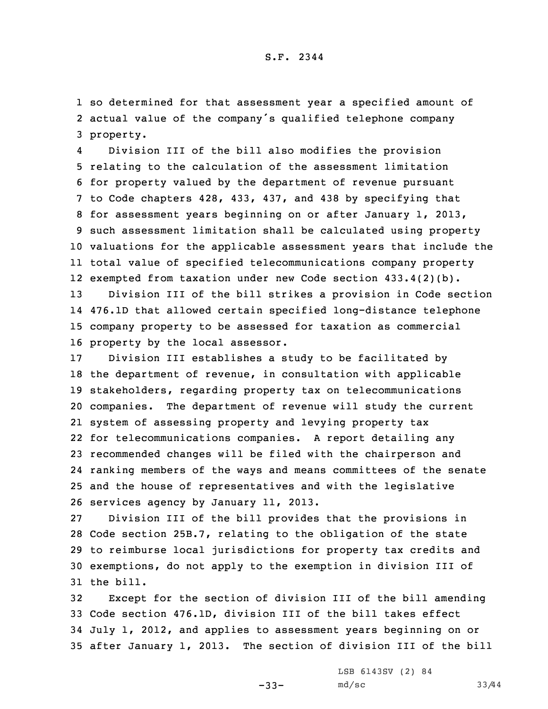1 so determined for that assessment year <sup>a</sup> specified amount of 2 actual value of the company's qualified telephone company 3 property.

4 Division III of the bill also modifies the provision relating to the calculation of the assessment limitation for property valued by the department of revenue pursuant to Code chapters 428, 433, 437, and 438 by specifying that for assessment years beginning on or after January 1, 2013, such assessment limitation shall be calculated using property valuations for the applicable assessment years that include the total value of specified telecommunications company property exempted from taxation under new Code section 433.4(2)(b).

 Division III of the bill strikes <sup>a</sup> provision in Code section 476.1D that allowed certain specified long-distance telephone company property to be assessed for taxation as commercial property by the local assessor.

 Division III establishes <sup>a</sup> study to be facilitated by the department of revenue, in consultation with applicable stakeholders, regarding property tax on telecommunications companies. The department of revenue will study the current system of assessing property and levying property tax for telecommunications companies. <sup>A</sup> report detailing any recommended changes will be filed with the chairperson and ranking members of the ways and means committees of the senate and the house of representatives and with the legislative services agency by January 11, 2013.

 Division III of the bill provides that the provisions in Code section 25B.7, relating to the obligation of the state to reimburse local jurisdictions for property tax credits and exemptions, do not apply to the exemption in division III of the bill.

 Except for the section of division III of the bill amending Code section 476.1D, division III of the bill takes effect July 1, 2012, and applies to assessment years beginning on or after January 1, 2013. The section of division III of the bill

-33-

LSB 6143SV (2) 84 md/sc 33/44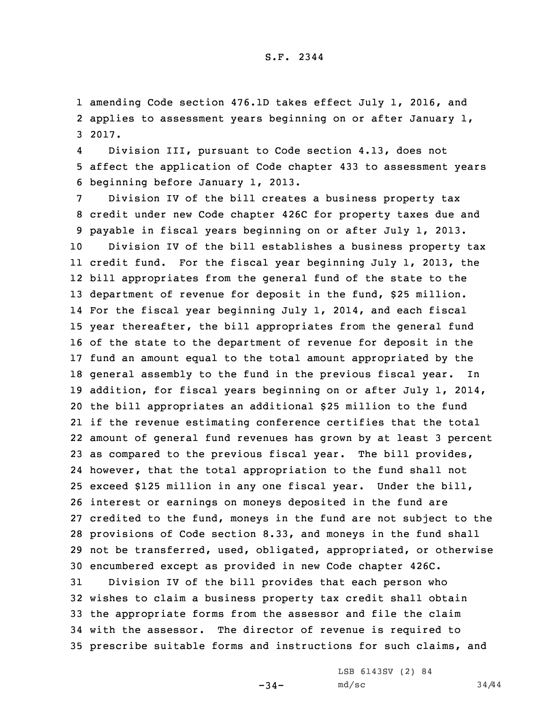1 amending Code section 476.1D takes effect July 1, 2016, and 2 applies to assessment years beginning on or after January 1, 3 2017.

4 Division III, pursuant to Code section 4.13, does not 5 affect the application of Code chapter 433 to assessment years 6 beginning before January 1, 2013.

 Division IV of the bill creates <sup>a</sup> business property tax credit under new Code chapter 426C for property taxes due and payable in fiscal years beginning on or after July 1, 2013. Division IV of the bill establishes <sup>a</sup> business property tax credit fund. For the fiscal year beginning July 1, 2013, the bill appropriates from the general fund of the state to the 13 department of revenue for deposit in the fund, \$25 million. For the fiscal year beginning July 1, 2014, and each fiscal year thereafter, the bill appropriates from the general fund of the state to the department of revenue for deposit in the fund an amount equal to the total amount appropriated by the general assembly to the fund in the previous fiscal year. In addition, for fiscal years beginning on or after July 1, 2014, the bill appropriates an additional \$25 million to the fund if the revenue estimating conference certifies that the total amount of general fund revenues has grown by at least 3 percent as compared to the previous fiscal year. The bill provides, however, that the total appropriation to the fund shall not exceed \$125 million in any one fiscal year. Under the bill, interest or earnings on moneys deposited in the fund are credited to the fund, moneys in the fund are not subject to the provisions of Code section 8.33, and moneys in the fund shall not be transferred, used, obligated, appropriated, or otherwise encumbered except as provided in new Code chapter 426C.

 Division IV of the bill provides that each person who wishes to claim <sup>a</sup> business property tax credit shall obtain the appropriate forms from the assessor and file the claim with the assessor. The director of revenue is required to prescribe suitable forms and instructions for such claims, and

 $-34-$ 

LSB 6143SV (2) 84 md/sc 34/44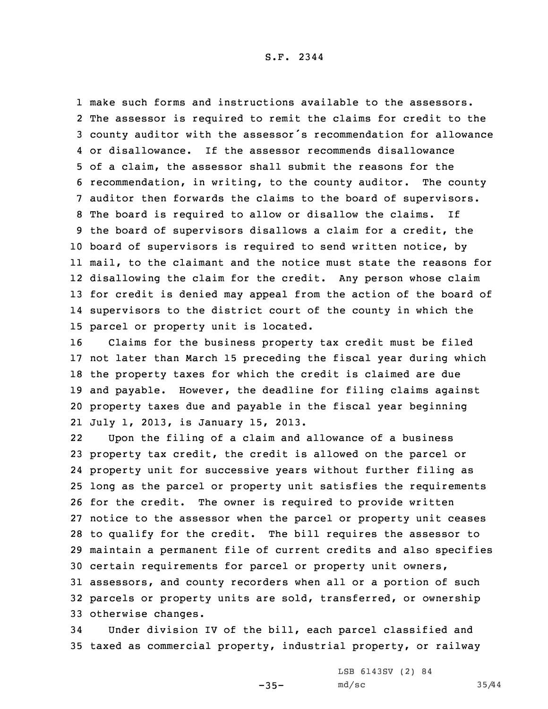make such forms and instructions available to the assessors. The assessor is required to remit the claims for credit to the county auditor with the assessor's recommendation for allowance or disallowance. If the assessor recommends disallowance of <sup>a</sup> claim, the assessor shall submit the reasons for the recommendation, in writing, to the county auditor. The county auditor then forwards the claims to the board of supervisors. The board is required to allow or disallow the claims. If the board of supervisors disallows <sup>a</sup> claim for <sup>a</sup> credit, the board of supervisors is required to send written notice, by mail, to the claimant and the notice must state the reasons for disallowing the claim for the credit. Any person whose claim for credit is denied may appeal from the action of the board of supervisors to the district court of the county in which the parcel or property unit is located.

 Claims for the business property tax credit must be filed not later than March 15 preceding the fiscal year during which the property taxes for which the credit is claimed are due and payable. However, the deadline for filing claims against property taxes due and payable in the fiscal year beginning July 1, 2013, is January 15, 2013.

22 Upon the filing of <sup>a</sup> claim and allowance of <sup>a</sup> business property tax credit, the credit is allowed on the parcel or property unit for successive years without further filing as long as the parcel or property unit satisfies the requirements for the credit. The owner is required to provide written notice to the assessor when the parcel or property unit ceases to qualify for the credit. The bill requires the assessor to maintain <sup>a</sup> permanent file of current credits and also specifies certain requirements for parcel or property unit owners, assessors, and county recorders when all or <sup>a</sup> portion of such parcels or property units are sold, transferred, or ownership otherwise changes.

34 Under division IV of the bill, each parcel classified and 35 taxed as commercial property, industrial property, or railway

-35-

LSB 6143SV (2) 84 md/sc 35/44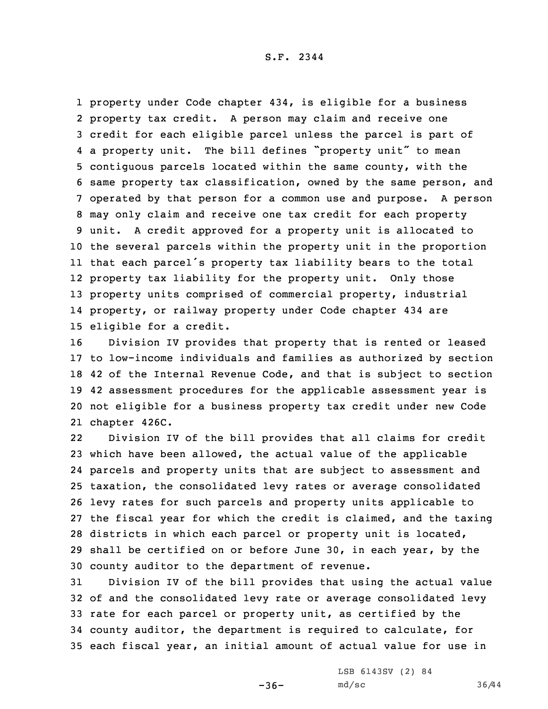property under Code chapter 434, is eligible for <sup>a</sup> business property tax credit. <sup>A</sup> person may claim and receive one credit for each eligible parcel unless the parcel is part of <sup>a</sup> property unit. The bill defines "property unit" to mean contiguous parcels located within the same county, with the same property tax classification, owned by the same person, and operated by that person for <sup>a</sup> common use and purpose. <sup>A</sup> person may only claim and receive one tax credit for each property unit. <sup>A</sup> credit approved for <sup>a</sup> property unit is allocated to the several parcels within the property unit in the proportion that each parcel's property tax liability bears to the total property tax liability for the property unit. Only those property units comprised of commercial property, industrial property, or railway property under Code chapter 434 are eligible for <sup>a</sup> credit.

 Division IV provides that property that is rented or leased to low-income individuals and families as authorized by section 42 of the Internal Revenue Code, and that is subject to section 42 assessment procedures for the applicable assessment year is not eligible for <sup>a</sup> business property tax credit under new Code chapter 426C.

22 Division IV of the bill provides that all claims for credit which have been allowed, the actual value of the applicable parcels and property units that are subject to assessment and taxation, the consolidated levy rates or average consolidated levy rates for such parcels and property units applicable to the fiscal year for which the credit is claimed, and the taxing districts in which each parcel or property unit is located, shall be certified on or before June 30, in each year, by the county auditor to the department of revenue.

 Division IV of the bill provides that using the actual value of and the consolidated levy rate or average consolidated levy rate for each parcel or property unit, as certified by the county auditor, the department is required to calculate, for each fiscal year, an initial amount of actual value for use in

 $-36-$ 

LSB 6143SV (2) 84 md/sc 36/44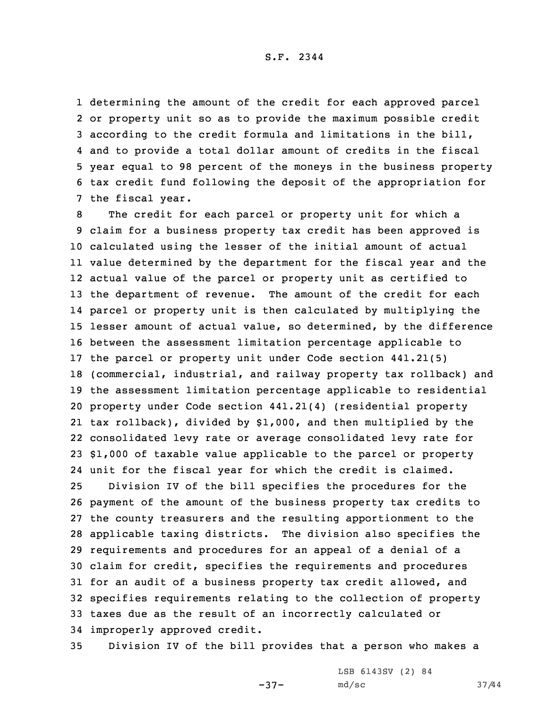determining the amount of the credit for each approved parcel or property unit so as to provide the maximum possible credit according to the credit formula and limitations in the bill, and to provide <sup>a</sup> total dollar amount of credits in the fiscal year equal to 98 percent of the moneys in the business property tax credit fund following the deposit of the appropriation for the fiscal year.

 The credit for each parcel or property unit for which <sup>a</sup> claim for <sup>a</sup> business property tax credit has been approved is calculated using the lesser of the initial amount of actual value determined by the department for the fiscal year and the actual value of the parcel or property unit as certified to the department of revenue. The amount of the credit for each parcel or property unit is then calculated by multiplying the lesser amount of actual value, so determined, by the difference between the assessment limitation percentage applicable to the parcel or property unit under Code section 441.21(5) (commercial, industrial, and railway property tax rollback) and the assessment limitation percentage applicable to residential property under Code section 441.21(4) (residential property tax rollback), divided by \$1,000, and then multiplied by the consolidated levy rate or average consolidated levy rate for \$1,000 of taxable value applicable to the parcel or property unit for the fiscal year for which the credit is claimed. Division IV of the bill specifies the procedures for the payment of the amount of the business property tax credits to the county treasurers and the resulting apportionment to the applicable taxing districts. The division also specifies the requirements and procedures for an appeal of <sup>a</sup> denial of <sup>a</sup> claim for credit, specifies the requirements and procedures for an audit of <sup>a</sup> business property tax credit allowed, and specifies requirements relating to the collection of property taxes due as the result of an incorrectly calculated or

34 improperly approved credit.

35 Division IV of the bill provides that <sup>a</sup> person who makes <sup>a</sup>

-37-

LSB 6143SV (2) 84 md/sc 37/44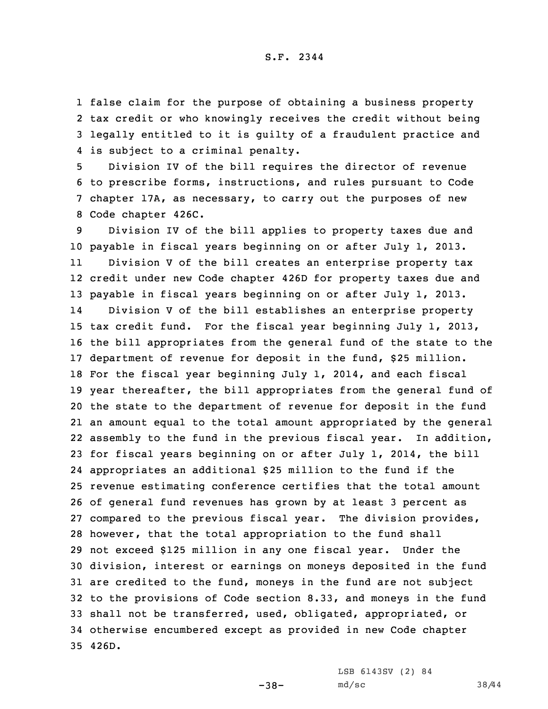false claim for the purpose of obtaining <sup>a</sup> business property tax credit or who knowingly receives the credit without being legally entitled to it is guilty of <sup>a</sup> fraudulent practice and is subject to <sup>a</sup> criminal penalty.

 Division IV of the bill requires the director of revenue to prescribe forms, instructions, and rules pursuant to Code chapter 17A, as necessary, to carry out the purposes of new Code chapter 426C.

 Division IV of the bill applies to property taxes due and payable in fiscal years beginning on or after July 1, 2013. 11 Division <sup>V</sup> of the bill creates an enterprise property tax credit under new Code chapter 426D for property taxes due and payable in fiscal years beginning on or after July 1, 2013. 14 Division <sup>V</sup> of the bill establishes an enterprise property tax credit fund. For the fiscal year beginning July 1, 2013, the bill appropriates from the general fund of the state to the department of revenue for deposit in the fund, \$25 million. For the fiscal year beginning July 1, 2014, and each fiscal year thereafter, the bill appropriates from the general fund of the state to the department of revenue for deposit in the fund an amount equal to the total amount appropriated by the general assembly to the fund in the previous fiscal year. In addition, for fiscal years beginning on or after July 1, 2014, the bill appropriates an additional \$25 million to the fund if the revenue estimating conference certifies that the total amount of general fund revenues has grown by at least 3 percent as compared to the previous fiscal year. The division provides, however, that the total appropriation to the fund shall not exceed \$125 million in any one fiscal year. Under the division, interest or earnings on moneys deposited in the fund are credited to the fund, moneys in the fund are not subject to the provisions of Code section 8.33, and moneys in the fund shall not be transferred, used, obligated, appropriated, or otherwise encumbered except as provided in new Code chapter 35 426D.

LSB 6143SV (2) 84

-38-

md/sc 38/44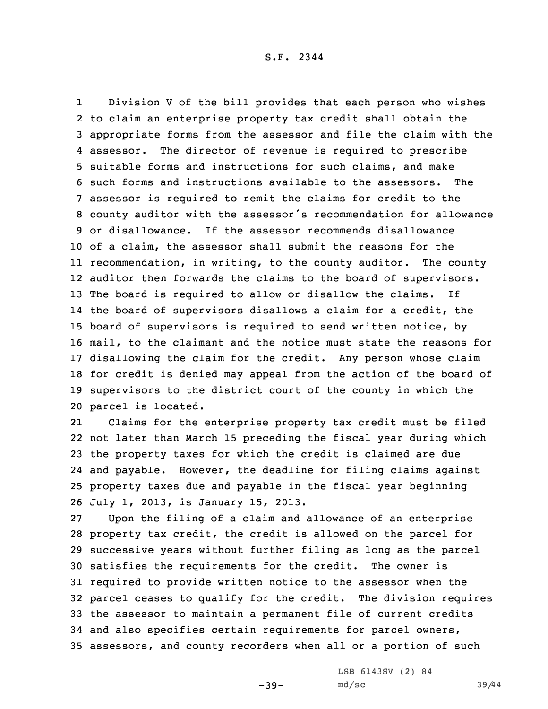1 Division <sup>V</sup> of the bill provides that each person who wishes to claim an enterprise property tax credit shall obtain the appropriate forms from the assessor and file the claim with the 4 assessor. The director of revenue is required to prescribe suitable forms and instructions for such claims, and make such forms and instructions available to the assessors. The assessor is required to remit the claims for credit to the county auditor with the assessor's recommendation for allowance or disallowance. If the assessor recommends disallowance of <sup>a</sup> claim, the assessor shall submit the reasons for the recommendation, in writing, to the county auditor. The county auditor then forwards the claims to the board of supervisors. The board is required to allow or disallow the claims. If the board of supervisors disallows <sup>a</sup> claim for <sup>a</sup> credit, the board of supervisors is required to send written notice, by mail, to the claimant and the notice must state the reasons for disallowing the claim for the credit. Any person whose claim for credit is denied may appeal from the action of the board of supervisors to the district court of the county in which the parcel is located.

21 Claims for the enterprise property tax credit must be filed not later than March 15 preceding the fiscal year during which the property taxes for which the credit is claimed are due and payable. However, the deadline for filing claims against property taxes due and payable in the fiscal year beginning July 1, 2013, is January 15, 2013.

 Upon the filing of <sup>a</sup> claim and allowance of an enterprise property tax credit, the credit is allowed on the parcel for successive years without further filing as long as the parcel satisfies the requirements for the credit. The owner is required to provide written notice to the assessor when the parcel ceases to qualify for the credit. The division requires the assessor to maintain <sup>a</sup> permanent file of current credits and also specifies certain requirements for parcel owners, assessors, and county recorders when all or <sup>a</sup> portion of such

 $-39-$ 

LSB 6143SV (2) 84 md/sc 39/44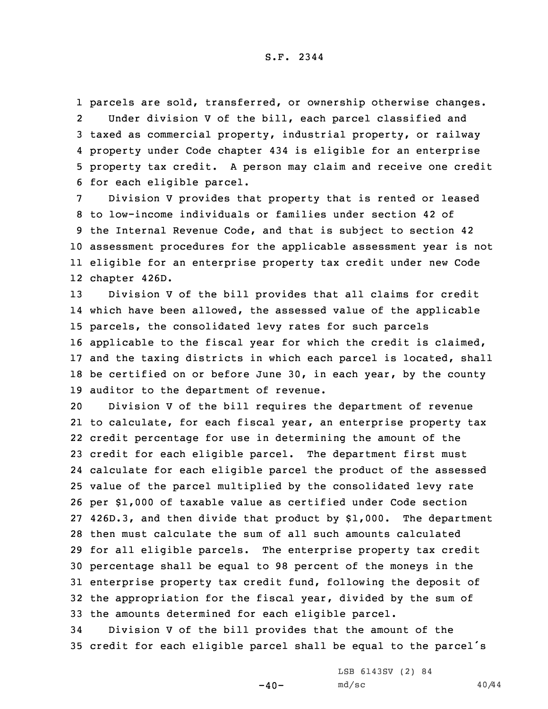parcels are sold, transferred, or ownership otherwise changes. 2 Under division <sup>V</sup> of the bill, each parcel classified and taxed as commercial property, industrial property, or railway property under Code chapter 434 is eligible for an enterprise property tax credit. <sup>A</sup> person may claim and receive one credit for each eligible parcel.

 Division <sup>V</sup> provides that property that is rented or leased to low-income individuals or families under section 42 of the Internal Revenue Code, and that is subject to section 42 assessment procedures for the applicable assessment year is not eligible for an enterprise property tax credit under new Code chapter 426D.

 Division <sup>V</sup> of the bill provides that all claims for credit which have been allowed, the assessed value of the applicable parcels, the consolidated levy rates for such parcels applicable to the fiscal year for which the credit is claimed, and the taxing districts in which each parcel is located, shall 18 be certified on or before June 30, in each year, by the county auditor to the department of revenue.

 Division <sup>V</sup> of the bill requires the department of revenue to calculate, for each fiscal year, an enterprise property tax credit percentage for use in determining the amount of the credit for each eligible parcel. The department first must calculate for each eligible parcel the product of the assessed value of the parcel multiplied by the consolidated levy rate per \$1,000 of taxable value as certified under Code section 426D.3, and then divide that product by \$1,000. The department then must calculate the sum of all such amounts calculated for all eligible parcels. The enterprise property tax credit percentage shall be equal to 98 percent of the moneys in the enterprise property tax credit fund, following the deposit of the appropriation for the fiscal year, divided by the sum of the amounts determined for each eligible parcel.

34 Division <sup>V</sup> of the bill provides that the amount of the <sup>35</sup> credit for each eligible parcel shall be equal to the parcel's

 $-40-$ 

LSB 6143SV (2) 84 md/sc 40/44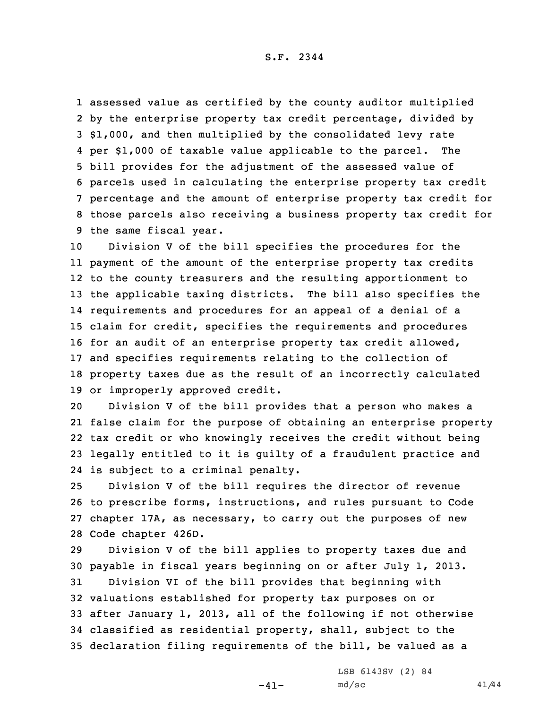assessed value as certified by the county auditor multiplied by the enterprise property tax credit percentage, divided by \$1,000, and then multiplied by the consolidated levy rate per \$1,000 of taxable value applicable to the parcel. The bill provides for the adjustment of the assessed value of parcels used in calculating the enterprise property tax credit percentage and the amount of enterprise property tax credit for those parcels also receiving <sup>a</sup> business property tax credit for the same fiscal year.

 Division <sup>V</sup> of the bill specifies the procedures for the payment of the amount of the enterprise property tax credits to the county treasurers and the resulting apportionment to the applicable taxing districts. The bill also specifies the requirements and procedures for an appeal of <sup>a</sup> denial of <sup>a</sup> claim for credit, specifies the requirements and procedures for an audit of an enterprise property tax credit allowed, and specifies requirements relating to the collection of property taxes due as the result of an incorrectly calculated or improperly approved credit.

 Division <sup>V</sup> of the bill provides that <sup>a</sup> person who makes <sup>a</sup> false claim for the purpose of obtaining an enterprise property tax credit or who knowingly receives the credit without being legally entitled to it is guilty of <sup>a</sup> fraudulent practice and is subject to <sup>a</sup> criminal penalty.

 Division <sup>V</sup> of the bill requires the director of revenue to prescribe forms, instructions, and rules pursuant to Code chapter 17A, as necessary, to carry out the purposes of new Code chapter 426D.

 Division <sup>V</sup> of the bill applies to property taxes due and payable in fiscal years beginning on or after July 1, 2013. Division VI of the bill provides that beginning with valuations established for property tax purposes on or after January 1, 2013, all of the following if not otherwise classified as residential property, shall, subject to the declaration filing requirements of the bill, be valued as <sup>a</sup>

 $-41-$ 

LSB 6143SV (2) 84 md/sc 41/44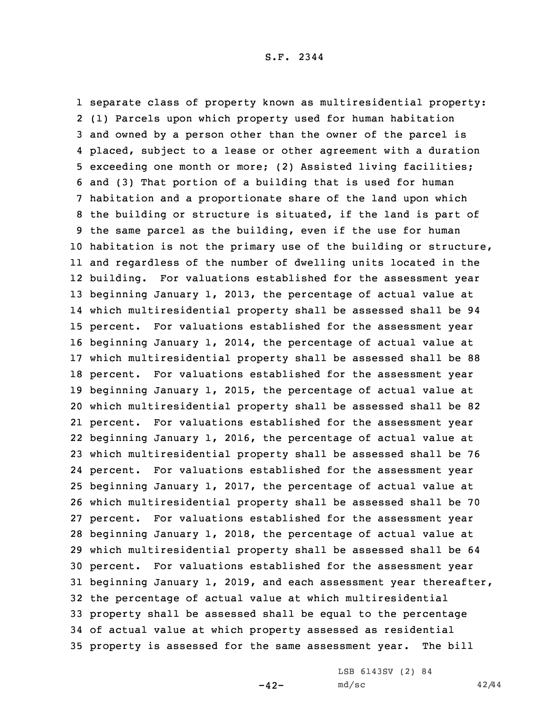separate class of property known as multiresidential property: (1) Parcels upon which property used for human habitation and owned by <sup>a</sup> person other than the owner of the parcel is placed, subject to <sup>a</sup> lease or other agreement with <sup>a</sup> duration exceeding one month or more; (2) Assisted living facilities; and (3) That portion of <sup>a</sup> building that is used for human habitation and <sup>a</sup> proportionate share of the land upon which the building or structure is situated, if the land is part of the same parcel as the building, even if the use for human habitation is not the primary use of the building or structure, and regardless of the number of dwelling units located in the building. For valuations established for the assessment year beginning January 1, 2013, the percentage of actual value at which multiresidential property shall be assessed shall be 94 percent. For valuations established for the assessment year beginning January 1, 2014, the percentage of actual value at which multiresidential property shall be assessed shall be 88 percent. For valuations established for the assessment year beginning January 1, 2015, the percentage of actual value at which multiresidential property shall be assessed shall be 82 percent. For valuations established for the assessment year beginning January 1, 2016, the percentage of actual value at which multiresidential property shall be assessed shall be 76 percent. For valuations established for the assessment year beginning January 1, 2017, the percentage of actual value at which multiresidential property shall be assessed shall be 70 percent. For valuations established for the assessment year beginning January 1, 2018, the percentage of actual value at which multiresidential property shall be assessed shall be 64 percent. For valuations established for the assessment year beginning January 1, 2019, and each assessment year thereafter, the percentage of actual value at which multiresidential property shall be assessed shall be equal to the percentage of actual value at which property assessed as residential property is assessed for the same assessment year. The bill

LSB 6143SV (2) 84

 $-42-$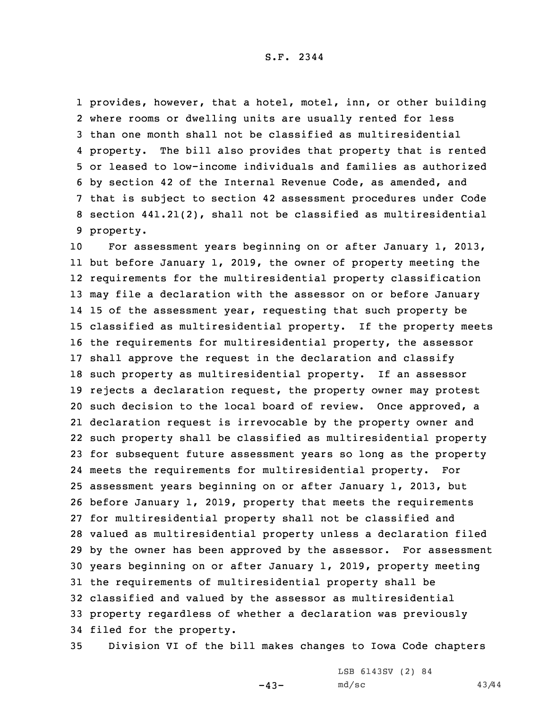provides, however, that <sup>a</sup> hotel, motel, inn, or other building where rooms or dwelling units are usually rented for less than one month shall not be classified as multiresidential 4 property. The bill also provides that property that is rented or leased to low-income individuals and families as authorized by section 42 of the Internal Revenue Code, as amended, and that is subject to section 42 assessment procedures under Code section 441.21(2), shall not be classified as multiresidential property.

 For assessment years beginning on or after January 1, 2013, but before January 1, 2019, the owner of property meeting the requirements for the multiresidential property classification may file <sup>a</sup> declaration with the assessor on or before January 15 of the assessment year, requesting that such property be classified as multiresidential property. If the property meets the requirements for multiresidential property, the assessor shall approve the request in the declaration and classify such property as multiresidential property. If an assessor rejects <sup>a</sup> declaration request, the property owner may protest such decision to the local board of review. Once approved, <sup>a</sup> declaration request is irrevocable by the property owner and such property shall be classified as multiresidential property for subsequent future assessment years so long as the property meets the requirements for multiresidential property. For assessment years beginning on or after January 1, 2013, but before January 1, 2019, property that meets the requirements for multiresidential property shall not be classified and valued as multiresidential property unless <sup>a</sup> declaration filed by the owner has been approved by the assessor. For assessment years beginning on or after January 1, 2019, property meeting the requirements of multiresidential property shall be classified and valued by the assessor as multiresidential property regardless of whether <sup>a</sup> declaration was previously filed for the property.

35 Division VI of the bill makes changes to Iowa Code chapters

 $-43-$ 

LSB 6143SV (2) 84 md/sc 43/44